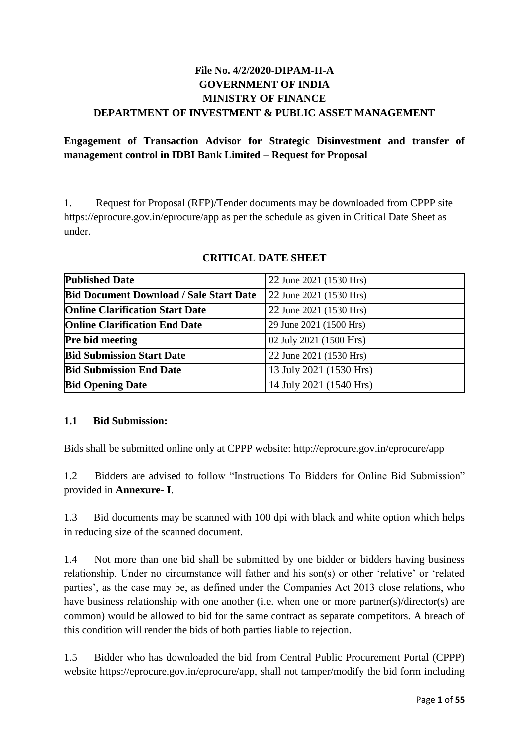## **File No. 4/2/2020-DIPAM-II-A GOVERNMENT OF INDIA MINISTRY OF FINANCE DEPARTMENT OF INVESTMENT & PUBLIC ASSET MANAGEMENT**

# **Engagement of Transaction Advisor for Strategic Disinvestment and transfer of management control in IDBI Bank Limited – Request for Proposal**

1. Request for Proposal (RFP)/Tender documents may be downloaded from CPPP site https://eprocure.gov.in/eprocure/app as per the schedule as given in Critical Date Sheet as under.

| <b>Published Date</b>                          | 22 June 2021 (1530 Hrs) |
|------------------------------------------------|-------------------------|
| <b>Bid Document Download / Sale Start Date</b> | 22 June 2021 (1530 Hrs) |
| <b>Online Clarification Start Date</b>         | 22 June 2021 (1530 Hrs) |
| <b>Online Clarification End Date</b>           | 29 June 2021 (1500 Hrs) |
| <b>Pre bid meeting</b>                         | 02 July 2021 (1500 Hrs) |
| <b>Bid Submission Start Date</b>               | 22 June 2021 (1530 Hrs) |
| <b>Bid Submission End Date</b>                 | 13 July 2021 (1530 Hrs) |
| <b>Bid Opening Date</b>                        | 14 July 2021 (1540 Hrs) |

### **CRITICAL DATE SHEET**

### **1.1 Bid Submission:**

Bids shall be submitted online only at CPPP website: http://eprocure.gov.in/eprocure/app

1.2 Bidders are advised to follow "Instructions To Bidders for Online Bid Submission" provided in **Annexure- I**.

1.3 Bid documents may be scanned with 100 dpi with black and white option which helps in reducing size of the scanned document.

1.4 Not more than one bid shall be submitted by one bidder or bidders having business relationship. Under no circumstance will father and his son(s) or other 'relative' or 'related parties', as the case may be, as defined under the Companies Act 2013 close relations, who have business relationship with one another (i.e. when one or more partner(s)/director(s) are common) would be allowed to bid for the same contract as separate competitors. A breach of this condition will render the bids of both parties liable to rejection.

1.5 Bidder who has downloaded the bid from Central Public Procurement Portal (CPPP) website https://eprocure.gov.in/eprocure/app, shall not tamper/modify the bid form including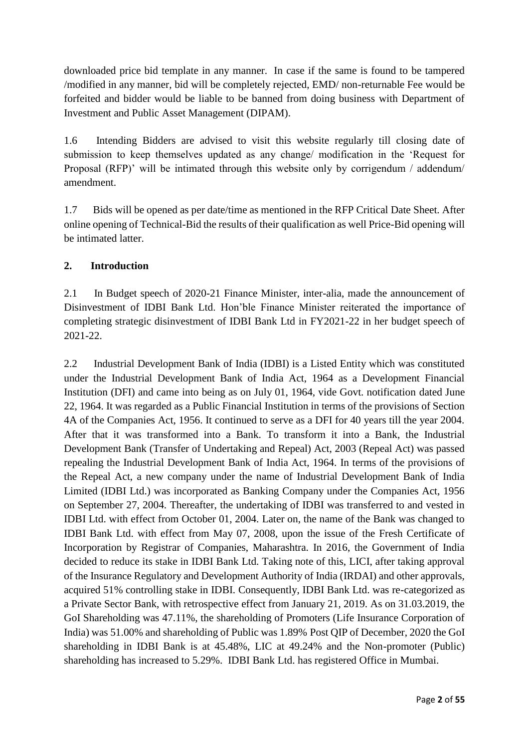downloaded price bid template in any manner. In case if the same is found to be tampered /modified in any manner, bid will be completely rejected, EMD/ non-returnable Fee would be forfeited and bidder would be liable to be banned from doing business with Department of Investment and Public Asset Management (DIPAM).

1.6 Intending Bidders are advised to visit this website regularly till closing date of submission to keep themselves updated as any change/ modification in the 'Request for Proposal (RFP)' will be intimated through this website only by corrigendum / addendum/ amendment.

1.7 Bids will be opened as per date/time as mentioned in the RFP Critical Date Sheet. After online opening of Technical-Bid the results of their qualification as well Price-Bid opening will be intimated latter.

# **2. Introduction**

2.1 In Budget speech of 2020-21 Finance Minister, inter-alia, made the announcement of Disinvestment of IDBI Bank Ltd. Hon'ble Finance Minister reiterated the importance of completing strategic disinvestment of IDBI Bank Ltd in FY2021-22 in her budget speech of 2021-22.

2.2 Industrial Development Bank of India (IDBI) is a Listed Entity which was constituted under the Industrial Development Bank of India Act, 1964 as a Development Financial Institution (DFI) and came into being as on July 01, 1964, vide Govt. notification dated June 22, 1964. It was regarded as a Public Financial Institution in terms of the provisions of Section 4A of the Companies Act, 1956. It continued to serve as a DFI for 40 years till the year 2004. After that it was transformed into a Bank. To transform it into a Bank, the Industrial Development Bank (Transfer of Undertaking and Repeal) Act, 2003 (Repeal Act) was passed repealing the Industrial Development Bank of India Act, 1964. In terms of the provisions of the Repeal Act, a new company under the name of Industrial Development Bank of India Limited (IDBI Ltd.) was incorporated as Banking Company under the Companies Act, 1956 on September 27, 2004. Thereafter, the undertaking of IDBI was transferred to and vested in IDBI Ltd. with effect from October 01, 2004. Later on, the name of the Bank was changed to IDBI Bank Ltd. with effect from May 07, 2008, upon the issue of the Fresh Certificate of Incorporation by Registrar of Companies, Maharashtra. In 2016, the Government of India decided to reduce its stake in IDBI Bank Ltd. Taking note of this, LICI, after taking approval of the Insurance Regulatory and Development Authority of India (IRDAI) and other approvals, acquired 51% controlling stake in IDBI. Consequently, IDBI Bank Ltd. was re-categorized as a Private Sector Bank, with retrospective effect from January 21, 2019. As on 31.03.2019, the GoI Shareholding was 47.11%, the shareholding of Promoters (Life Insurance Corporation of India) was 51.00% and shareholding of Public was 1.89% Post QIP of December, 2020 the GoI shareholding in IDBI Bank is at 45.48%, LIC at 49.24% and the Non-promoter (Public) shareholding has increased to 5.29%. IDBI Bank Ltd. has registered Office in Mumbai.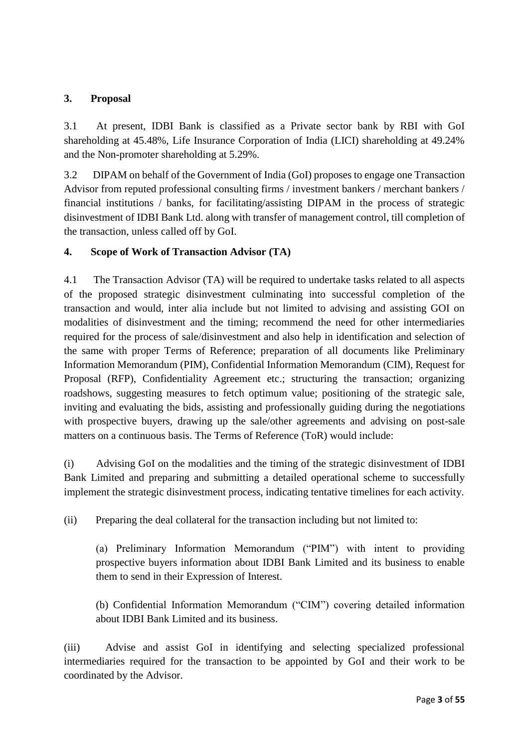## **3. Proposal**

3.1 At present, IDBI Bank is classified as a Private sector bank by RBI with GoI shareholding at 45.48%, Life Insurance Corporation of India (LICI) shareholding at 49.24% and the Non-promoter shareholding at 5.29%.

3.2 DIPAM on behalf of the Government of India (GoI) proposes to engage one Transaction Advisor from reputed professional consulting firms / investment bankers / merchant bankers / financial institutions / banks, for facilitating/assisting DIPAM in the process of strategic disinvestment of IDBI Bank Ltd. along with transfer of management control, till completion of the transaction, unless called off by GoI.

### **4. Scope of Work of Transaction Advisor (TA)**

4.1 The Transaction Advisor (TA) will be required to undertake tasks related to all aspects of the proposed strategic disinvestment culminating into successful completion of the transaction and would, inter alia include but not limited to advising and assisting GOI on modalities of disinvestment and the timing; recommend the need for other intermediaries required for the process of sale/disinvestment and also help in identification and selection of the same with proper Terms of Reference; preparation of all documents like Preliminary Information Memorandum (PIM), Confidential Information Memorandum (CIM), Request for Proposal (RFP), Confidentiality Agreement etc.; structuring the transaction; organizing roadshows, suggesting measures to fetch optimum value; positioning of the strategic sale, inviting and evaluating the bids, assisting and professionally guiding during the negotiations with prospective buyers, drawing up the sale/other agreements and advising on post-sale matters on a continuous basis. The Terms of Reference (ToR) would include:

(i) Advising GoI on the modalities and the timing of the strategic disinvestment of IDBI Bank Limited and preparing and submitting a detailed operational scheme to successfully implement the strategic disinvestment process, indicating tentative timelines for each activity.

(ii) Preparing the deal collateral for the transaction including but not limited to:

(a) Preliminary Information Memorandum ("PIM") with intent to providing prospective buyers information about IDBI Bank Limited and its business to enable them to send in their Expression of Interest.

(b) Confidential Information Memorandum ("CIM") covering detailed information about IDBI Bank Limited and its business.

(iii) Advise and assist GoI in identifying and selecting specialized professional intermediaries required for the transaction to be appointed by GoI and their work to be coordinated by the Advisor.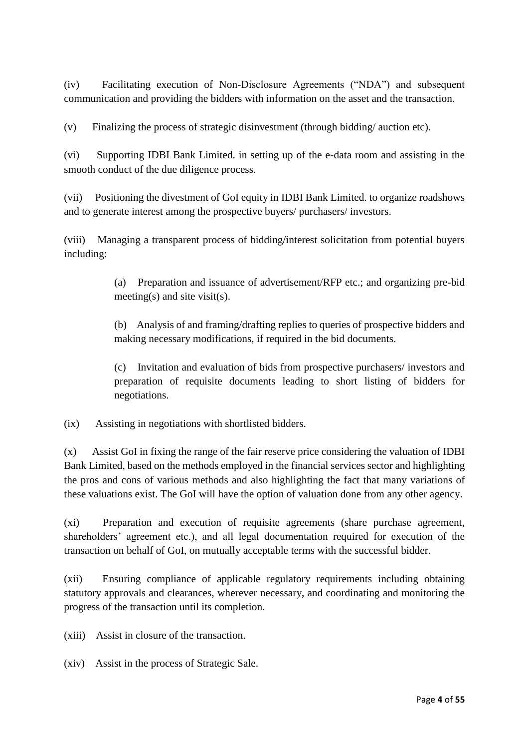(iv) Facilitating execution of Non-Disclosure Agreements ("NDA") and subsequent communication and providing the bidders with information on the asset and the transaction.

(v) Finalizing the process of strategic disinvestment (through bidding/ auction etc).

(vi) Supporting IDBI Bank Limited. in setting up of the e-data room and assisting in the smooth conduct of the due diligence process.

(vii) Positioning the divestment of GoI equity in IDBI Bank Limited. to organize roadshows and to generate interest among the prospective buyers/ purchasers/ investors.

(viii) Managing a transparent process of bidding/interest solicitation from potential buyers including:

> (a) Preparation and issuance of advertisement/RFP etc.; and organizing pre-bid meeting(s) and site visit(s).

> (b) Analysis of and framing/drafting replies to queries of prospective bidders and making necessary modifications, if required in the bid documents.

> (c) Invitation and evaluation of bids from prospective purchasers/ investors and preparation of requisite documents leading to short listing of bidders for negotiations.

(ix) Assisting in negotiations with shortlisted bidders.

(x) Assist GoI in fixing the range of the fair reserve price considering the valuation of IDBI Bank Limited, based on the methods employed in the financial services sector and highlighting the pros and cons of various methods and also highlighting the fact that many variations of these valuations exist. The GoI will have the option of valuation done from any other agency.

(xi) Preparation and execution of requisite agreements (share purchase agreement, shareholders' agreement etc.), and all legal documentation required for execution of the transaction on behalf of GoI, on mutually acceptable terms with the successful bidder.

(xii) Ensuring compliance of applicable regulatory requirements including obtaining statutory approvals and clearances, wherever necessary, and coordinating and monitoring the progress of the transaction until its completion.

(xiii) Assist in closure of the transaction.

(xiv) Assist in the process of Strategic Sale.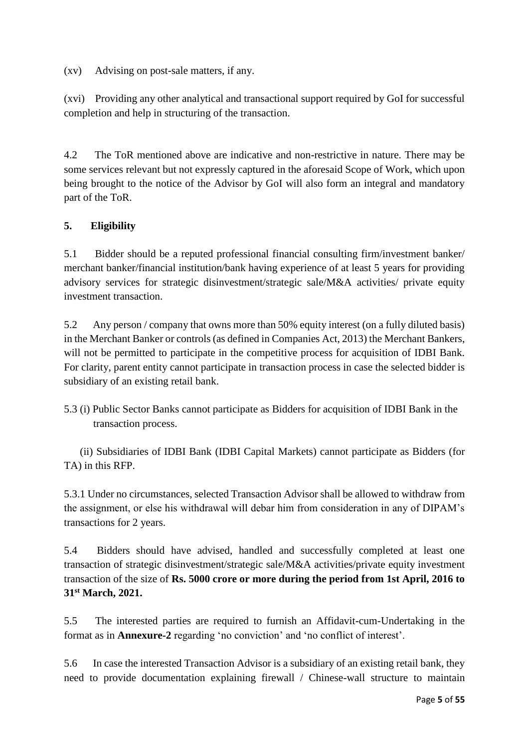(xv) Advising on post-sale matters, if any.

(xvi) Providing any other analytical and transactional support required by GoI for successful completion and help in structuring of the transaction.

4.2 The ToR mentioned above are indicative and non-restrictive in nature. There may be some services relevant but not expressly captured in the aforesaid Scope of Work, which upon being brought to the notice of the Advisor by GoI will also form an integral and mandatory part of the ToR.

### **5. Eligibility**

5.1 Bidder should be a reputed professional financial consulting firm/investment banker/ merchant banker/financial institution/bank having experience of at least 5 years for providing advisory services for strategic disinvestment/strategic sale/M&A activities/ private equity investment transaction.

5.2 Any person / company that owns more than 50% equity interest (on a fully diluted basis) in the Merchant Banker or controls (as defined in Companies Act, 2013) the Merchant Bankers, will not be permitted to participate in the competitive process for acquisition of IDBI Bank. For clarity, parent entity cannot participate in transaction process in case the selected bidder is subsidiary of an existing retail bank.

5.3 (i) Public Sector Banks cannot participate as Bidders for acquisition of IDBI Bank in the transaction process.

 (ii) Subsidiaries of IDBI Bank (IDBI Capital Markets) cannot participate as Bidders (for TA) in this RFP.

5.3.1 Under no circumstances, selected Transaction Advisor shall be allowed to withdraw from the assignment, or else his withdrawal will debar him from consideration in any of DIPAM's transactions for 2 years.

5.4 Bidders should have advised, handled and successfully completed at least one transaction of strategic disinvestment/strategic sale/M&A activities/private equity investment transaction of the size of **Rs. 5000 crore or more during the period from 1st April, 2016 to 31st March, 2021.**

5.5 The interested parties are required to furnish an Affidavit-cum-Undertaking in the format as in **Annexure-2** regarding 'no conviction' and 'no conflict of interest'.

5.6 In case the interested Transaction Advisor is a subsidiary of an existing retail bank, they need to provide documentation explaining firewall / Chinese-wall structure to maintain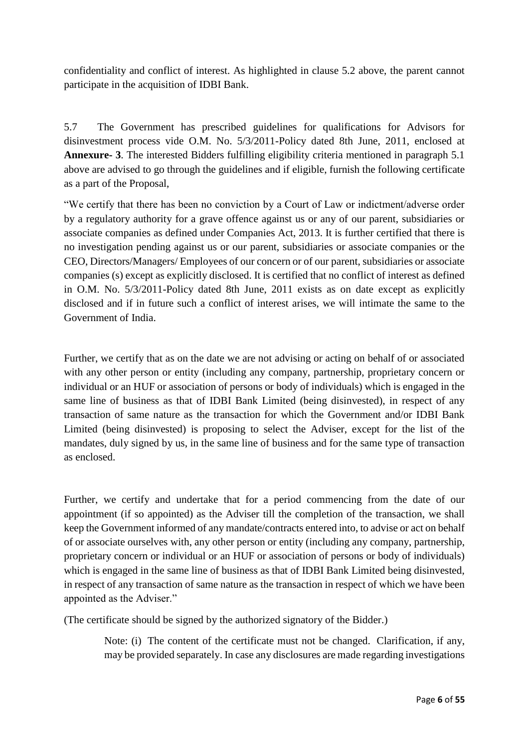confidentiality and conflict of interest. As highlighted in clause 5.2 above, the parent cannot participate in the acquisition of IDBI Bank.

5.7 The Government has prescribed guidelines for qualifications for Advisors for disinvestment process vide O.M. No. 5/3/2011-Policy dated 8th June, 2011, enclosed at **Annexure- 3**. The interested Bidders fulfilling eligibility criteria mentioned in paragraph 5.1 above are advised to go through the guidelines and if eligible, furnish the following certificate as a part of the Proposal,

"We certify that there has been no conviction by a Court of Law or indictment/adverse order by a regulatory authority for a grave offence against us or any of our parent, subsidiaries or associate companies as defined under Companies Act, 2013. It is further certified that there is no investigation pending against us or our parent, subsidiaries or associate companies or the CEO, Directors/Managers/ Employees of our concern or of our parent, subsidiaries or associate companies (s) except as explicitly disclosed. It is certified that no conflict of interest as defined in O.M. No. 5/3/2011-Policy dated 8th June, 2011 exists as on date except as explicitly disclosed and if in future such a conflict of interest arises, we will intimate the same to the Government of India.

Further, we certify that as on the date we are not advising or acting on behalf of or associated with any other person or entity (including any company, partnership, proprietary concern or individual or an HUF or association of persons or body of individuals) which is engaged in the same line of business as that of IDBI Bank Limited (being disinvested), in respect of any transaction of same nature as the transaction for which the Government and/or IDBI Bank Limited (being disinvested) is proposing to select the Adviser, except for the list of the mandates, duly signed by us, in the same line of business and for the same type of transaction as enclosed.

Further, we certify and undertake that for a period commencing from the date of our appointment (if so appointed) as the Adviser till the completion of the transaction, we shall keep the Government informed of any mandate/contracts entered into, to advise or act on behalf of or associate ourselves with, any other person or entity (including any company, partnership, proprietary concern or individual or an HUF or association of persons or body of individuals) which is engaged in the same line of business as that of IDBI Bank Limited being disinvested, in respect of any transaction of same nature as the transaction in respect of which we have been appointed as the Adviser."

(The certificate should be signed by the authorized signatory of the Bidder.)

Note: (i) The content of the certificate must not be changed. Clarification, if any, may be provided separately. In case any disclosures are made regarding investigations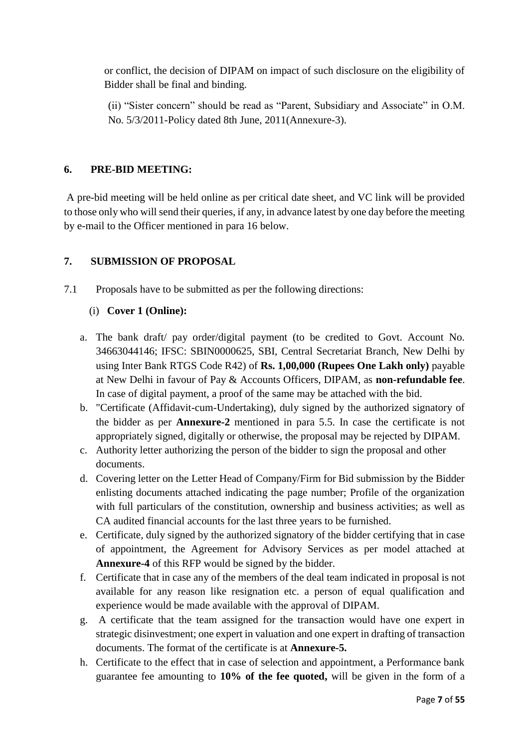or conflict, the decision of DIPAM on impact of such disclosure on the eligibility of Bidder shall be final and binding.

(ii) "Sister concern" should be read as "Parent, Subsidiary and Associate" in O.M. No. 5/3/2011-Policy dated 8th June, 2011(Annexure-3).

### **6. PRE-BID MEETING:**

A pre-bid meeting will be held online as per critical date sheet, and VC link will be provided to those only who will send their queries, if any, in advance latest by one day before the meeting by e-mail to the Officer mentioned in para 16 below.

### **7. SUBMISSION OF PROPOSAL**

7.1 Proposals have to be submitted as per the following directions:

### (i) **Cover 1 (Online):**

- a. The bank draft/ pay order/digital payment (to be credited to Govt. Account No. 34663044146; IFSC: SBIN0000625, SBI, Central Secretariat Branch, New Delhi by using Inter Bank RTGS Code R42) of **Rs. 1,00,000 (Rupees One Lakh only)** payable at New Delhi in favour of Pay & Accounts Officers, DIPAM, as **non-refundable fee**. In case of digital payment, a proof of the same may be attached with the bid.
- b. "Certificate (Affidavit-cum-Undertaking), duly signed by the authorized signatory of the bidder as per **Annexure-2** mentioned in para 5.5. In case the certificate is not appropriately signed, digitally or otherwise, the proposal may be rejected by DIPAM.
- c. Authority letter authorizing the person of the bidder to sign the proposal and other documents.
- d. Covering letter on the Letter Head of Company/Firm for Bid submission by the Bidder enlisting documents attached indicating the page number; Profile of the organization with full particulars of the constitution, ownership and business activities; as well as CA audited financial accounts for the last three years to be furnished.
- e. Certificate, duly signed by the authorized signatory of the bidder certifying that in case of appointment, the Agreement for Advisory Services as per model attached at **Annexure-4** of this RFP would be signed by the bidder.
- f. Certificate that in case any of the members of the deal team indicated in proposal is not available for any reason like resignation etc. a person of equal qualification and experience would be made available with the approval of DIPAM.
- g. A certificate that the team assigned for the transaction would have one expert in strategic disinvestment; one expert in valuation and one expert in drafting of transaction documents. The format of the certificate is at **Annexure-5.**
- h. Certificate to the effect that in case of selection and appointment, a Performance bank guarantee fee amounting to **10% of the fee quoted,** will be given in the form of a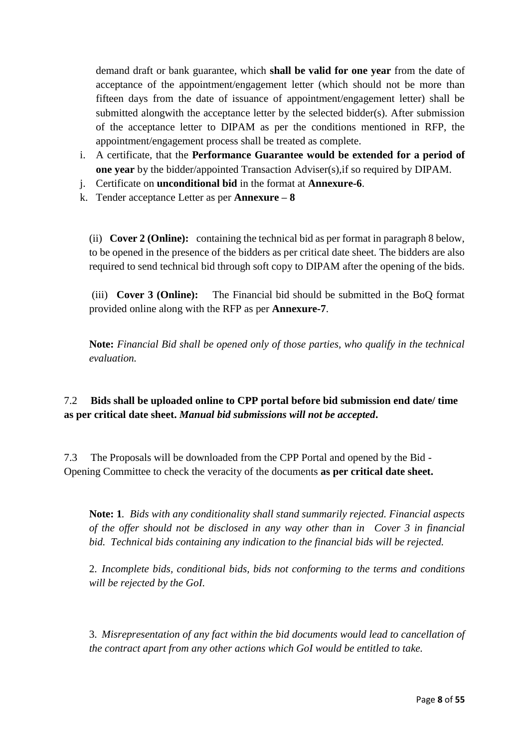demand draft or bank guarantee, which **shall be valid for one year** from the date of acceptance of the appointment/engagement letter (which should not be more than fifteen days from the date of issuance of appointment/engagement letter) shall be submitted alongwith the acceptance letter by the selected bidder(s). After submission of the acceptance letter to DIPAM as per the conditions mentioned in RFP, the appointment/engagement process shall be treated as complete.

- i. A certificate, that the **Performance Guarantee would be extended for a period of one year** by the bidder/appointed Transaction Adviser(s),if so required by DIPAM.
- j. Certificate on **unconditional bid** in the format at **Annexure-6**.
- k. Tender acceptance Letter as per **Annexure – 8**

(ii) **Cover 2 (Online):** containing the technical bid as per format in paragraph 8 below, to be opened in the presence of the bidders as per critical date sheet. The bidders are also required to send technical bid through soft copy to DIPAM after the opening of the bids.

(iii) **Cover 3 (Online):** The Financial bid should be submitted in the BoQ format provided online along with the RFP as per **Annexure-7**.

**Note:** *Financial Bid shall be opened only of those parties, who qualify in the technical evaluation.* 

# 7.2 **Bids shall be uploaded online to CPP portal before bid submission end date/ time as per critical date sheet.** *Manual bid submissions will not be accepted***.**

7.3 The Proposals will be downloaded from the CPP Portal and opened by the Bid - Opening Committee to check the veracity of the documents **as per critical date sheet.**

**Note: 1***. Bids with any conditionality shall stand summarily rejected. Financial aspects of the offer should not be disclosed in any way other than in Cover 3 in financial bid. Technical bids containing any indication to the financial bids will be rejected.*

2. *Incomplete bids, conditional bids, bids not conforming to the terms and conditions will be rejected by the GoI.*

3. *Misrepresentation of any fact within the bid documents would lead to cancellation of the contract apart from any other actions which GoI would be entitled to take.*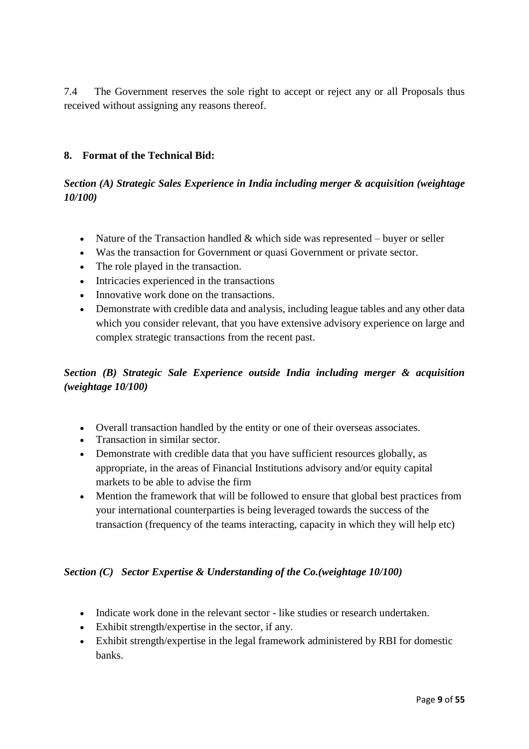7.4 The Government reserves the sole right to accept or reject any or all Proposals thus received without assigning any reasons thereof.

### **8. Format of the Technical Bid:**

# *Section (A) Strategic Sales Experience in India including merger & acquisition (weightage 10/100)*

- Nature of the Transaction handled  $&$  which side was represented buyer or seller
- Was the transaction for Government or quasi Government or private sector.
- The role played in the transaction.
- Intricacies experienced in the transactions
- Innovative work done on the transactions.
- Demonstrate with credible data and analysis, including league tables and any other data which you consider relevant, that you have extensive advisory experience on large and complex strategic transactions from the recent past.

# *Section (B) Strategic Sale Experience outside India including merger & acquisition (weightage 10/100)*

- Overall transaction handled by the entity or one of their overseas associates.
- Transaction in similar sector.
- Demonstrate with credible data that you have sufficient resources globally, as appropriate, in the areas of Financial Institutions advisory and/or equity capital markets to be able to advise the firm
- Mention the framework that will be followed to ensure that global best practices from your international counterparties is being leveraged towards the success of the transaction (frequency of the teams interacting, capacity in which they will help etc)

### *Section (C) Sector Expertise & Understanding of the Co.(weightage 10/100)*

- Indicate work done in the relevant sector like studies or research undertaken.
- Exhibit strength/expertise in the sector, if any.
- Exhibit strength/expertise in the legal framework administered by RBI for domestic banks.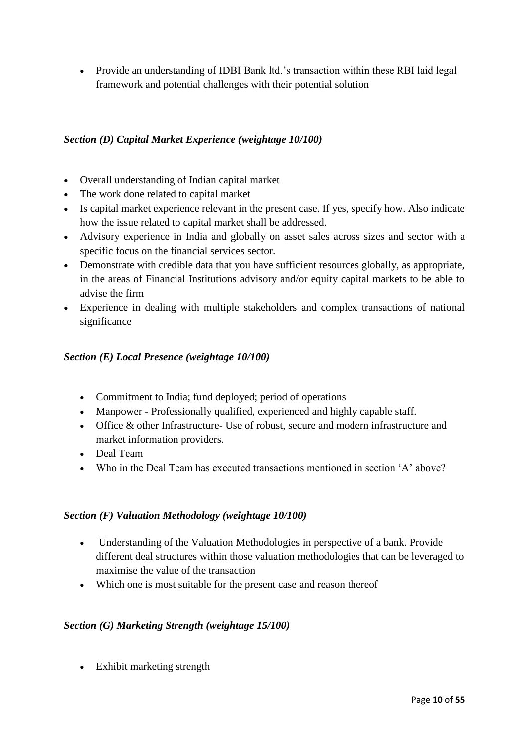• Provide an understanding of IDBI Bank ltd.'s transaction within these RBI laid legal framework and potential challenges with their potential solution

### *Section (D) Capital Market Experience (weightage 10/100)*

- Overall understanding of Indian capital market
- The work done related to capital market
- Is capital market experience relevant in the present case. If yes, specify how. Also indicate how the issue related to capital market shall be addressed.
- Advisory experience in India and globally on asset sales across sizes and sector with a specific focus on the financial services sector.
- Demonstrate with credible data that you have sufficient resources globally, as appropriate, in the areas of Financial Institutions advisory and/or equity capital markets to be able to advise the firm
- Experience in dealing with multiple stakeholders and complex transactions of national significance

#### *Section (E) Local Presence (weightage 10/100)*

- Commitment to India; fund deployed; period of operations
- Manpower Professionally qualified, experienced and highly capable staff.
- Office & other Infrastructure- Use of robust, secure and modern infrastructure and market information providers.
- Deal Team
- Who in the Deal Team has executed transactions mentioned in section 'A' above?

### *Section (F) Valuation Methodology (weightage 10/100)*

- Understanding of the Valuation Methodologies in perspective of a bank. Provide different deal structures within those valuation methodologies that can be leveraged to maximise the value of the transaction
- Which one is most suitable for the present case and reason thereof

### *Section (G) Marketing Strength (weightage 15/100)*

• Exhibit marketing strength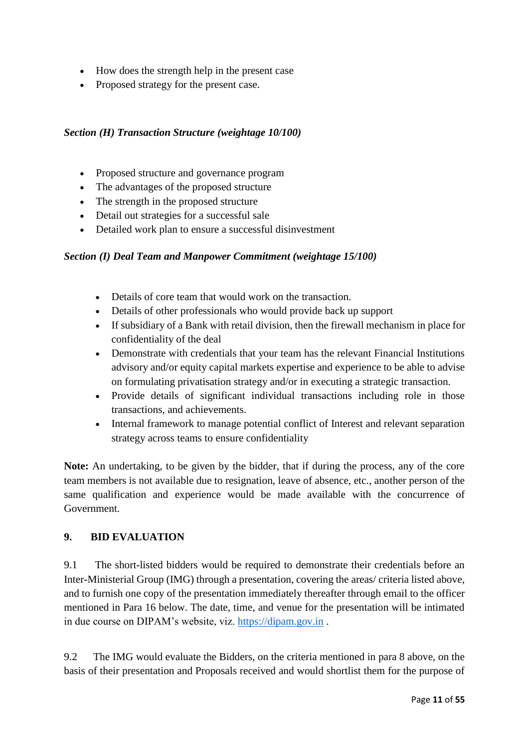- How does the strength help in the present case
- Proposed strategy for the present case.

### *Section (H) Transaction Structure (weightage 10/100)*

- Proposed structure and governance program
- The advantages of the proposed structure
- The strength in the proposed structure
- Detail out strategies for a successful sale
- Detailed work plan to ensure a successful disinvestment

### *Section (I) Deal Team and Manpower Commitment (weightage 15/100)*

- Details of core team that would work on the transaction.
- Details of other professionals who would provide back up support
- If subsidiary of a Bank with retail division, then the firewall mechanism in place for confidentiality of the deal
- Demonstrate with credentials that your team has the relevant Financial Institutions advisory and/or equity capital markets expertise and experience to be able to advise on formulating privatisation strategy and/or in executing a strategic transaction.
- Provide details of significant individual transactions including role in those transactions, and achievements.
- Internal framework to manage potential conflict of Interest and relevant separation strategy across teams to ensure confidentiality

**Note:** An undertaking, to be given by the bidder, that if during the process, any of the core team members is not available due to resignation, leave of absence, etc., another person of the same qualification and experience would be made available with the concurrence of Government.

### **9. BID EVALUATION**

9.1 The short-listed bidders would be required to demonstrate their credentials before an Inter-Ministerial Group (IMG) through a presentation, covering the areas/ criteria listed above, and to furnish one copy of the presentation immediately thereafter through email to the officer mentioned in Para 16 below. The date, time, and venue for the presentation will be intimated in due course on DIPAM's website, viz. [https://dipam.gov.in](https://dipam.gov.in/) .

9.2 The IMG would evaluate the Bidders, on the criteria mentioned in para 8 above, on the basis of their presentation and Proposals received and would shortlist them for the purpose of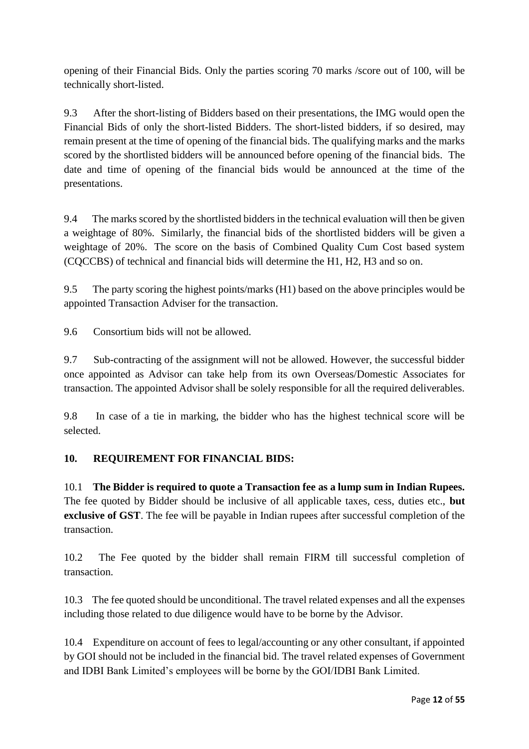opening of their Financial Bids. Only the parties scoring 70 marks /score out of 100, will be technically short-listed.

9.3 After the short-listing of Bidders based on their presentations, the IMG would open the Financial Bids of only the short-listed Bidders. The short-listed bidders, if so desired, may remain present at the time of opening of the financial bids. The qualifying marks and the marks scored by the shortlisted bidders will be announced before opening of the financial bids. The date and time of opening of the financial bids would be announced at the time of the presentations.

9.4 The marks scored by the shortlisted bidders in the technical evaluation will then be given a weightage of 80%. Similarly, the financial bids of the shortlisted bidders will be given a weightage of 20%. The score on the basis of Combined Quality Cum Cost based system (CQCCBS) of technical and financial bids will determine the H1, H2, H3 and so on.

9.5 The party scoring the highest points/marks (H1) based on the above principles would be appointed Transaction Adviser for the transaction.

9.6 Consortium bids will not be allowed.

9.7 Sub-contracting of the assignment will not be allowed. However, the successful bidder once appointed as Advisor can take help from its own Overseas/Domestic Associates for transaction. The appointed Advisor shall be solely responsible for all the required deliverables.

9.8 In case of a tie in marking, the bidder who has the highest technical score will be selected.

# **10. REQUIREMENT FOR FINANCIAL BIDS:**

10.1 **The Bidder is required to quote a Transaction fee as a lump sum in Indian Rupees.**  The fee quoted by Bidder should be inclusive of all applicable taxes, cess, duties etc., **but exclusive of GST**. The fee will be payable in Indian rupees after successful completion of the transaction.

10.2 The Fee quoted by the bidder shall remain FIRM till successful completion of transaction.

10.3 The fee quoted should be unconditional. The travel related expenses and all the expenses including those related to due diligence would have to be borne by the Advisor.

10.4 Expenditure on account of fees to legal/accounting or any other consultant, if appointed by GOI should not be included in the financial bid. The travel related expenses of Government and IDBI Bank Limited's employees will be borne by the GOI/IDBI Bank Limited.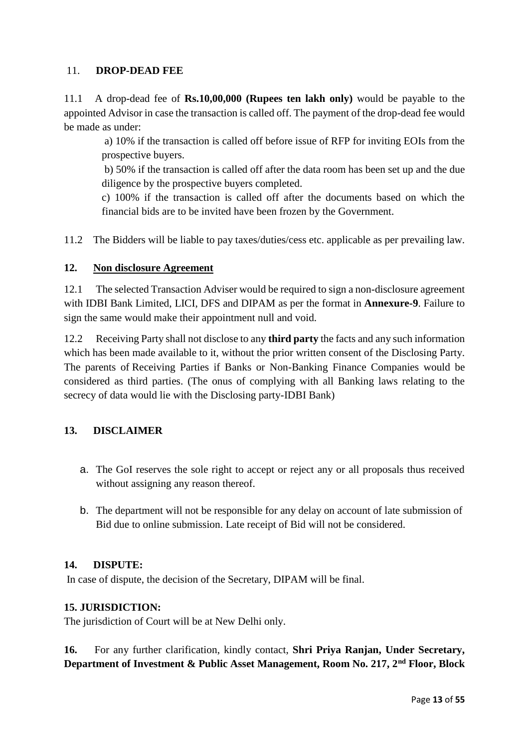#### 11. **DROP-DEAD FEE**

11.1 A drop-dead fee of **Rs.10,00,000 (Rupees ten lakh only)** would be payable to the appointed Advisor in case the transaction is called off. The payment of the drop-dead fee would be made as under:

a) 10% if the transaction is called off before issue of RFP for inviting EOIs from the prospective buyers.

b) 50% if the transaction is called off after the data room has been set up and the due diligence by the prospective buyers completed.

c) 100% if the transaction is called off after the documents based on which the financial bids are to be invited have been frozen by the Government.

11.2 The Bidders will be liable to pay taxes/duties/cess etc. applicable as per prevailing law.

### **12. Non disclosure Agreement**

12.1 The selected Transaction Adviser would be required to sign a non-disclosure agreement with IDBI Bank Limited, LICI, DFS and DIPAM as per the format in **Annexure-9**. Failure to sign the same would make their appointment null and void.

12.2 Receiving Party shall not disclose to any **third party** the facts and any such information which has been made available to it, without the prior written consent of the Disclosing Party. The parents of Receiving Parties if Banks or Non-Banking Finance Companies would be considered as third parties. (The onus of complying with all Banking laws relating to the secrecy of data would lie with the Disclosing party-IDBI Bank)

### **13. DISCLAIMER**

- a. The GoI reserves the sole right to accept or reject any or all proposals thus received without assigning any reason thereof.
- b. The department will not be responsible for any delay on account of late submission of Bid due to online submission. Late receipt of Bid will not be considered.

#### **14. DISPUTE:**

In case of dispute, the decision of the Secretary, DIPAM will be final.

#### **15. JURISDICTION:**

The jurisdiction of Court will be at New Delhi only.

**16.** For any further clarification, kindly contact, **Shri Priya Ranjan, Under Secretary, Department of Investment & Public Asset Management, Room No. 217, 2nd Floor, Block**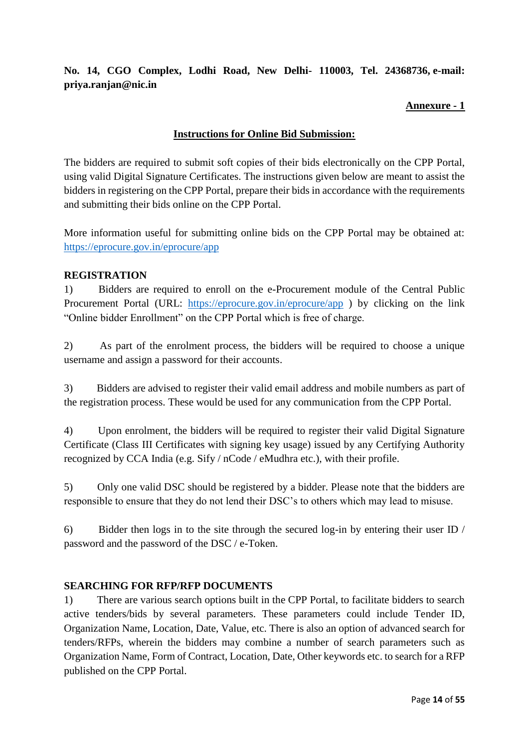**No. 14, CGO Complex, Lodhi Road, New Delhi- 110003, Tel. 24368736, e-mail: priya.ranjan@nic.in**

#### **Annexure - 1**

#### **Instructions for Online Bid Submission:**

The bidders are required to submit soft copies of their bids electronically on the CPP Portal, using valid Digital Signature Certificates. The instructions given below are meant to assist the bidders in registering on the CPP Portal, prepare their bids in accordance with the requirements and submitting their bids online on the CPP Portal.

More information useful for submitting online bids on the CPP Portal may be obtained at: <https://eprocure.gov.in/eprocure/app>

#### **REGISTRATION**

1) Bidders are required to enroll on the e-Procurement module of the Central Public Procurement Portal (URL: <https://eprocure.gov.in/eprocure/app>) by clicking on the link "Online bidder Enrollment" on the CPP Portal which is free of charge.

2) As part of the enrolment process, the bidders will be required to choose a unique username and assign a password for their accounts.

3) Bidders are advised to register their valid email address and mobile numbers as part of the registration process. These would be used for any communication from the CPP Portal.

4) Upon enrolment, the bidders will be required to register their valid Digital Signature Certificate (Class III Certificates with signing key usage) issued by any Certifying Authority recognized by CCA India (e.g. Sify / nCode / eMudhra etc.), with their profile.

5) Only one valid DSC should be registered by a bidder. Please note that the bidders are responsible to ensure that they do not lend their DSC's to others which may lead to misuse.

6) Bidder then logs in to the site through the secured log-in by entering their user ID / password and the password of the DSC / e-Token.

### **SEARCHING FOR RFP/RFP DOCUMENTS**

1) There are various search options built in the CPP Portal, to facilitate bidders to search active tenders/bids by several parameters. These parameters could include Tender ID, Organization Name, Location, Date, Value, etc. There is also an option of advanced search for tenders/RFPs, wherein the bidders may combine a number of search parameters such as Organization Name, Form of Contract, Location, Date, Other keywords etc. to search for a RFP published on the CPP Portal.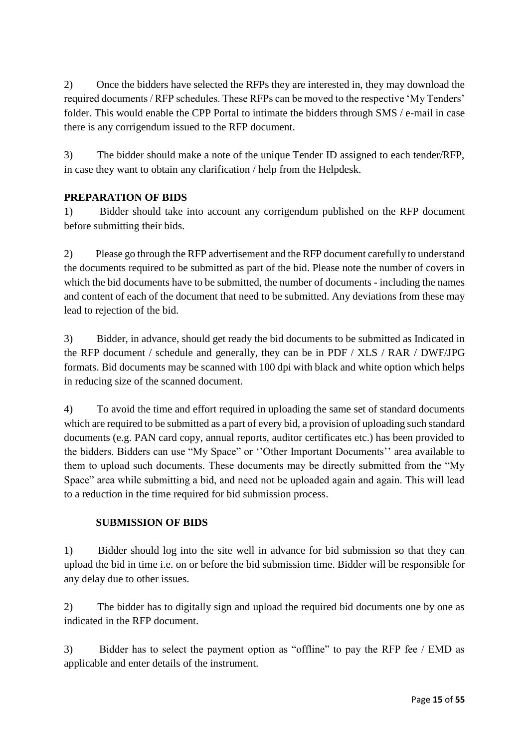2) Once the bidders have selected the RFPs they are interested in, they may download the required documents / RFP schedules. These RFPs can be moved to the respective 'My Tenders' folder. This would enable the CPP Portal to intimate the bidders through SMS / e-mail in case there is any corrigendum issued to the RFP document.

3) The bidder should make a note of the unique Tender ID assigned to each tender/RFP, in case they want to obtain any clarification / help from the Helpdesk.

# **PREPARATION OF BIDS**

1) Bidder should take into account any corrigendum published on the RFP document before submitting their bids.

2) Please go through the RFP advertisement and the RFP document carefully to understand the documents required to be submitted as part of the bid. Please note the number of covers in which the bid documents have to be submitted, the number of documents - including the names and content of each of the document that need to be submitted. Any deviations from these may lead to rejection of the bid.

3) Bidder, in advance, should get ready the bid documents to be submitted as Indicated in the RFP document / schedule and generally, they can be in PDF / XLS / RAR / DWF/JPG formats. Bid documents may be scanned with 100 dpi with black and white option which helps in reducing size of the scanned document.

4) To avoid the time and effort required in uploading the same set of standard documents which are required to be submitted as a part of every bid, a provision of uploading such standard documents (e.g. PAN card copy, annual reports, auditor certificates etc.) has been provided to the bidders. Bidders can use "My Space" or ''Other Important Documents'' area available to them to upload such documents. These documents may be directly submitted from the "My Space" area while submitting a bid, and need not be uploaded again and again. This will lead to a reduction in the time required for bid submission process.

### **SUBMISSION OF BIDS**

1) Bidder should log into the site well in advance for bid submission so that they can upload the bid in time i.e. on or before the bid submission time. Bidder will be responsible for any delay due to other issues.

2) The bidder has to digitally sign and upload the required bid documents one by one as indicated in the RFP document.

3) Bidder has to select the payment option as "offline" to pay the RFP fee / EMD as applicable and enter details of the instrument.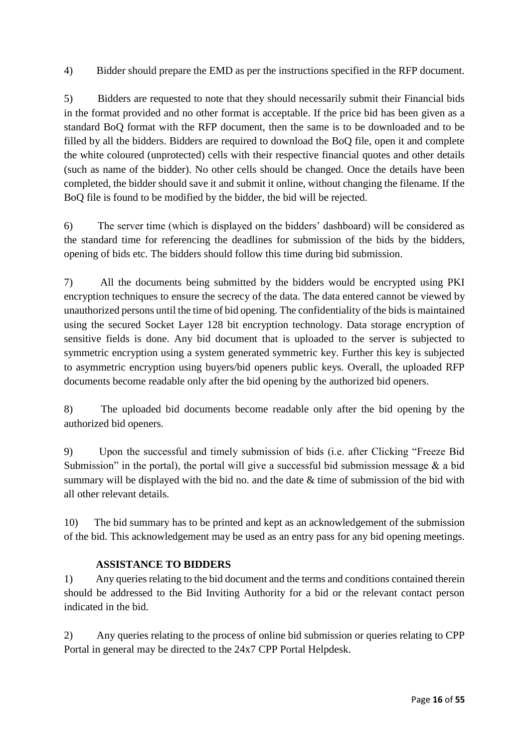4) Bidder should prepare the EMD as per the instructions specified in the RFP document.

5) Bidders are requested to note that they should necessarily submit their Financial bids in the format provided and no other format is acceptable. If the price bid has been given as a standard BoQ format with the RFP document, then the same is to be downloaded and to be filled by all the bidders. Bidders are required to download the BoQ file, open it and complete the white coloured (unprotected) cells with their respective financial quotes and other details (such as name of the bidder). No other cells should be changed. Once the details have been completed, the bidder should save it and submit it online, without changing the filename. If the BoQ file is found to be modified by the bidder, the bid will be rejected.

6) The server time (which is displayed on the bidders' dashboard) will be considered as the standard time for referencing the deadlines for submission of the bids by the bidders, opening of bids etc. The bidders should follow this time during bid submission.

7) All the documents being submitted by the bidders would be encrypted using PKI encryption techniques to ensure the secrecy of the data. The data entered cannot be viewed by unauthorized persons until the time of bid opening. The confidentiality of the bids is maintained using the secured Socket Layer 128 bit encryption technology. Data storage encryption of sensitive fields is done. Any bid document that is uploaded to the server is subjected to symmetric encryption using a system generated symmetric key. Further this key is subjected to asymmetric encryption using buyers/bid openers public keys. Overall, the uploaded RFP documents become readable only after the bid opening by the authorized bid openers.

8) The uploaded bid documents become readable only after the bid opening by the authorized bid openers.

9) Upon the successful and timely submission of bids (i.e. after Clicking "Freeze Bid Submission" in the portal), the portal will give a successful bid submission message  $\&$  a bid summary will be displayed with the bid no. and the date  $\&$  time of submission of the bid with all other relevant details.

10) The bid summary has to be printed and kept as an acknowledgement of the submission of the bid. This acknowledgement may be used as an entry pass for any bid opening meetings.

# **ASSISTANCE TO BIDDERS**

1) Any queries relating to the bid document and the terms and conditions contained therein should be addressed to the Bid Inviting Authority for a bid or the relevant contact person indicated in the bid.

2) Any queries relating to the process of online bid submission or queries relating to CPP Portal in general may be directed to the 24x7 CPP Portal Helpdesk.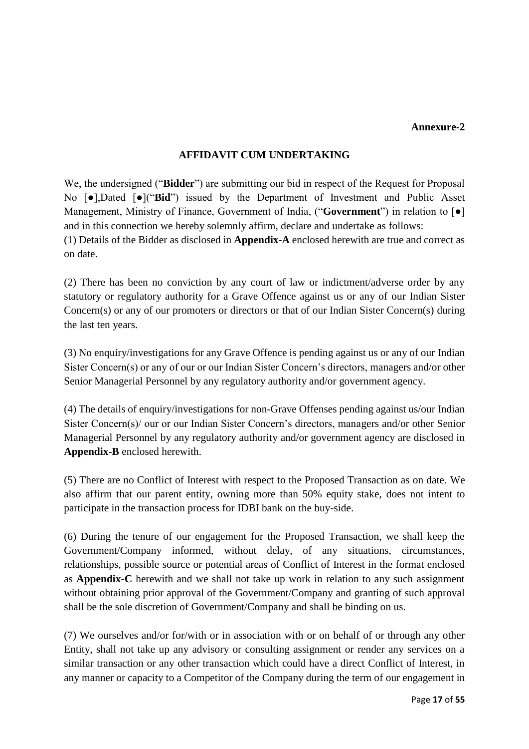#### **Annexure-2**

### **AFFIDAVIT CUM UNDERTAKING**

We, the undersigned ("**Bidder**") are submitting our bid in respect of the Request for Proposal No [●],Dated [●]("**Bid**") issued by the Department of Investment and Public Asset Management, Ministry of Finance, Government of India, ("**Government**") in relation to [●] and in this connection we hereby solemnly affirm, declare and undertake as follows: (1) Details of the Bidder as disclosed in **Appendix-A** enclosed herewith are true and correct as on date.

(2) There has been no conviction by any court of law or indictment/adverse order by any statutory or regulatory authority for a Grave Offence against us or any of our Indian Sister Concern(s) or any of our promoters or directors or that of our Indian Sister Concern(s) during the last ten years.

(3) No enquiry/investigations for any Grave Offence is pending against us or any of our Indian Sister Concern(s) or any of our or our Indian Sister Concern's directors, managers and/or other Senior Managerial Personnel by any regulatory authority and/or government agency.

(4) The details of enquiry/investigations for non-Grave Offenses pending against us/our Indian Sister Concern(s)/ our or our Indian Sister Concern's directors, managers and/or other Senior Managerial Personnel by any regulatory authority and/or government agency are disclosed in **Appendix-B** enclosed herewith.

(5) There are no Conflict of Interest with respect to the Proposed Transaction as on date. We also affirm that our parent entity, owning more than 50% equity stake, does not intent to participate in the transaction process for IDBI bank on the buy-side.

(6) During the tenure of our engagement for the Proposed Transaction, we shall keep the Government/Company informed, without delay, of any situations, circumstances, relationships, possible source or potential areas of Conflict of Interest in the format enclosed as **Appendix-C** herewith and we shall not take up work in relation to any such assignment without obtaining prior approval of the Government/Company and granting of such approval shall be the sole discretion of Government/Company and shall be binding on us.

(7) We ourselves and/or for/with or in association with or on behalf of or through any other Entity, shall not take up any advisory or consulting assignment or render any services on a similar transaction or any other transaction which could have a direct Conflict of Interest, in any manner or capacity to a Competitor of the Company during the term of our engagement in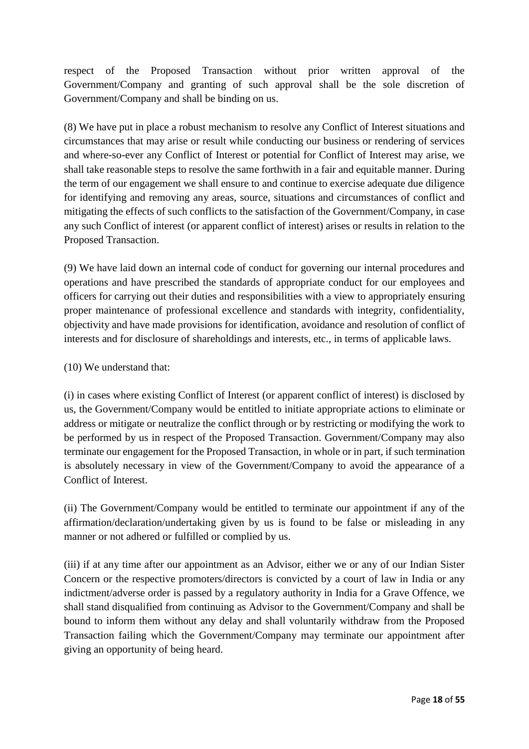respect of the Proposed Transaction without prior written approval of the Government/Company and granting of such approval shall be the sole discretion of Government/Company and shall be binding on us.

(8) We have put in place a robust mechanism to resolve any Conflict of Interest situations and circumstances that may arise or result while conducting our business or rendering of services and where-so-ever any Conflict of Interest or potential for Conflict of Interest may arise, we shall take reasonable steps to resolve the same forthwith in a fair and equitable manner. During the term of our engagement we shall ensure to and continue to exercise adequate due diligence for identifying and removing any areas, source, situations and circumstances of conflict and mitigating the effects of such conflicts to the satisfaction of the Government/Company, in case any such Conflict of interest (or apparent conflict of interest) arises or results in relation to the Proposed Transaction.

(9) We have laid down an internal code of conduct for governing our internal procedures and operations and have prescribed the standards of appropriate conduct for our employees and officers for carrying out their duties and responsibilities with a view to appropriately ensuring proper maintenance of professional excellence and standards with integrity, confidentiality, objectivity and have made provisions for identification, avoidance and resolution of conflict of interests and for disclosure of shareholdings and interests, etc., in terms of applicable laws.

(10) We understand that:

(i) in cases where existing Conflict of Interest (or apparent conflict of interest) is disclosed by us, the Government/Company would be entitled to initiate appropriate actions to eliminate or address or mitigate or neutralize the conflict through or by restricting or modifying the work to be performed by us in respect of the Proposed Transaction. Government/Company may also terminate our engagement for the Proposed Transaction, in whole or in part, if such termination is absolutely necessary in view of the Government/Company to avoid the appearance of a Conflict of Interest.

(ii) The Government/Company would be entitled to terminate our appointment if any of the affirmation/declaration/undertaking given by us is found to be false or misleading in any manner or not adhered or fulfilled or complied by us.

(iii) if at any time after our appointment as an Advisor, either we or any of our Indian Sister Concern or the respective promoters/directors is convicted by a court of law in India or any indictment/adverse order is passed by a regulatory authority in India for a Grave Offence, we shall stand disqualified from continuing as Advisor to the Government/Company and shall be bound to inform them without any delay and shall voluntarily withdraw from the Proposed Transaction failing which the Government/Company may terminate our appointment after giving an opportunity of being heard.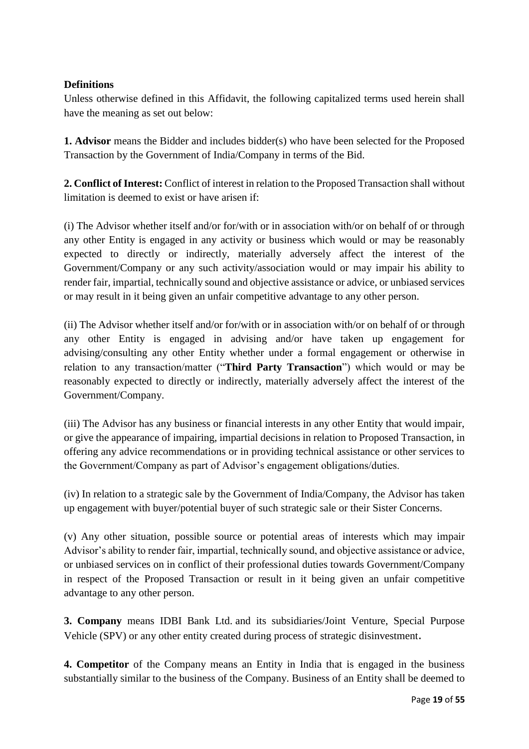### **Definitions**

Unless otherwise defined in this Affidavit, the following capitalized terms used herein shall have the meaning as set out below:

**1. Advisor** means the Bidder and includes bidder(s) who have been selected for the Proposed Transaction by the Government of India/Company in terms of the Bid.

**2. Conflict of Interest:** Conflict of interest in relation to the Proposed Transaction shall without limitation is deemed to exist or have arisen if:

(i) The Advisor whether itself and/or for/with or in association with/or on behalf of or through any other Entity is engaged in any activity or business which would or may be reasonably expected to directly or indirectly, materially adversely affect the interest of the Government/Company or any such activity/association would or may impair his ability to render fair, impartial, technically sound and objective assistance or advice, or unbiased services or may result in it being given an unfair competitive advantage to any other person.

(ii) The Advisor whether itself and/or for/with or in association with/or on behalf of or through any other Entity is engaged in advising and/or have taken up engagement for advising/consulting any other Entity whether under a formal engagement or otherwise in relation to any transaction/matter ("**Third Party Transaction**") which would or may be reasonably expected to directly or indirectly, materially adversely affect the interest of the Government/Company.

(iii) The Advisor has any business or financial interests in any other Entity that would impair, or give the appearance of impairing, impartial decisions in relation to Proposed Transaction, in offering any advice recommendations or in providing technical assistance or other services to the Government/Company as part of Advisor's engagement obligations/duties.

(iv) In relation to a strategic sale by the Government of India/Company, the Advisor has taken up engagement with buyer/potential buyer of such strategic sale or their Sister Concerns.

(v) Any other situation, possible source or potential areas of interests which may impair Advisor's ability to render fair, impartial, technically sound, and objective assistance or advice, or unbiased services on in conflict of their professional duties towards Government/Company in respect of the Proposed Transaction or result in it being given an unfair competitive advantage to any other person.

**3. Company** means IDBI Bank Ltd. and its subsidiaries/Joint Venture, Special Purpose Vehicle (SPV) or any other entity created during process of strategic disinvestment.

**4. Competitor** of the Company means an Entity in India that is engaged in the business substantially similar to the business of the Company. Business of an Entity shall be deemed to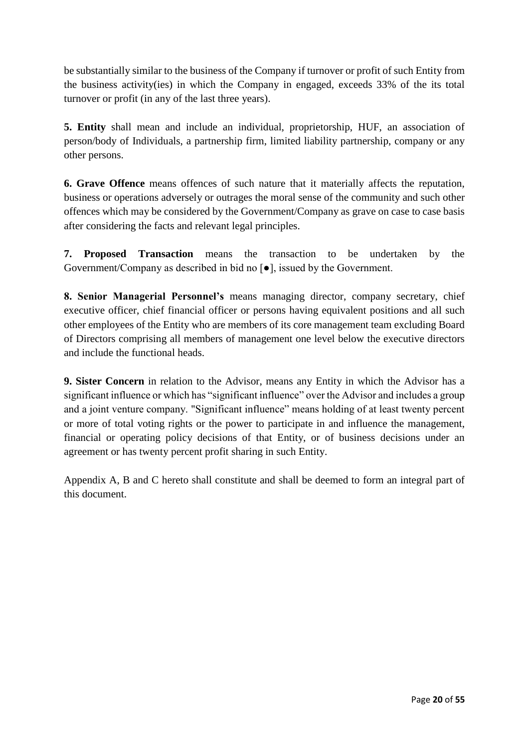be substantially similar to the business of the Company if turnover or profit of such Entity from the business activity(ies) in which the Company in engaged, exceeds 33% of the its total turnover or profit (in any of the last three years).

**5. Entity** shall mean and include an individual, proprietorship, HUF, an association of person/body of Individuals, a partnership firm, limited liability partnership, company or any other persons.

**6. Grave Offence** means offences of such nature that it materially affects the reputation, business or operations adversely or outrages the moral sense of the community and such other offences which may be considered by the Government/Company as grave on case to case basis after considering the facts and relevant legal principles.

**7. Proposed Transaction** means the transaction to be undertaken by the Government/Company as described in bid no [●], issued by the Government.

**8. Senior Managerial Personnel's** means managing director, company secretary, chief executive officer, chief financial officer or persons having equivalent positions and all such other employees of the Entity who are members of its core management team excluding Board of Directors comprising all members of management one level below the executive directors and include the functional heads.

**9. Sister Concern** in relation to the Advisor, means any Entity in which the Advisor has a significant influence or which has "significant influence" over the Advisor and includes a group and a joint venture company. "Significant influence" means holding of at least twenty percent or more of total voting rights or the power to participate in and influence the management, financial or operating policy decisions of that Entity, or of business decisions under an agreement or has twenty percent profit sharing in such Entity.

Appendix A, B and C hereto shall constitute and shall be deemed to form an integral part of this document.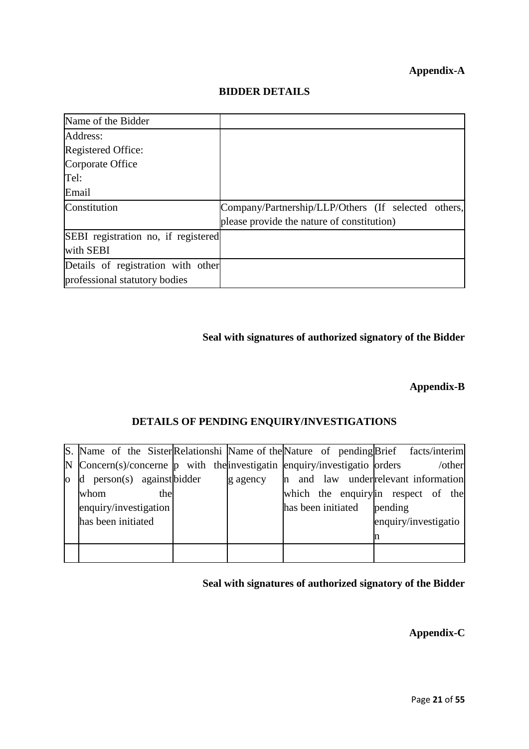# **Appendix-A**

| Name of the Bidder                  |                                                     |
|-------------------------------------|-----------------------------------------------------|
| Address:                            |                                                     |
| <b>Registered Office:</b>           |                                                     |
| Corporate Office                    |                                                     |
| Tel:                                |                                                     |
| Email                               |                                                     |
| Constitution                        | Company/Partnership/LLP/Others (If selected others, |
|                                     | please provide the nature of constitution)          |
| SEBI registration no, if registered |                                                     |
| with SEBI                           |                                                     |
| Details of registration with other  |                                                     |
| professional statutory bodies       |                                                     |

#### **BIDDER DETAILS**

# **Seal with signatures of authorized signatory of the Bidder**

### **Appendix-B**

### **DETAILS OF PENDING ENQUIRY/INVESTIGATIONS**

| S. Name of the Sister Relationshi Name of the Nature of pending Brief facts/interim                |      |  |          |  |                    |                                     |        |
|----------------------------------------------------------------------------------------------------|------|--|----------|--|--------------------|-------------------------------------|--------|
| $\mathbb N$ Concern(s)/concerne $\mathfrak p$ with the linvestigation enquiry/investigation orders |      |  |          |  |                    |                                     | /other |
| $\alpha$ d person(s) against bidder                                                                |      |  | g agency |  |                    | n and law underrelevant information |        |
| whom                                                                                               | thel |  |          |  |                    | which the enquiry in respect of the |        |
| enquiry/investigation                                                                              |      |  |          |  | has been initiated | pending                             |        |
| has been initiated                                                                                 |      |  |          |  |                    | enquiry/investigatio                |        |
|                                                                                                    |      |  |          |  |                    |                                     |        |
|                                                                                                    |      |  |          |  |                    |                                     |        |

# **Seal with signatures of authorized signatory of the Bidder**

**Appendix-C**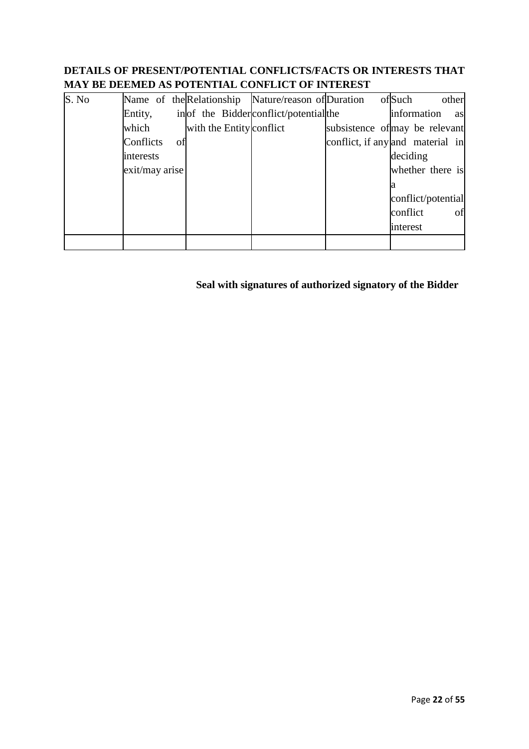# **DETAILS OF PRESENT/POTENTIAL CONFLICTS/FACTS OR INTERESTS THAT MAY BE DEEMED AS POTENTIAL CONFLICT OF INTEREST**

| S. No |                |    |  | Name of the Relationship Nature/reason of Duration |                                  | ofSuch   |                    | other |
|-------|----------------|----|--|----------------------------------------------------|----------------------------------|----------|--------------------|-------|
|       | Entity,        |    |  | in of the Bidder conflict/potential the            |                                  |          | information        | as    |
|       | which          |    |  | with the Entity conflict                           | subsistence of may be relevant   |          |                    |       |
|       | Conflicts      | οf |  |                                                    | conflict, if any and material in |          |                    |       |
|       | interests      |    |  |                                                    |                                  | deciding |                    |       |
|       | exit/may arise |    |  |                                                    |                                  |          | whether there is   |       |
|       |                |    |  |                                                    |                                  |          |                    |       |
|       |                |    |  |                                                    |                                  |          | conflict/potential |       |
|       |                |    |  |                                                    |                                  | conflict |                    | of    |
|       |                |    |  |                                                    |                                  | interest |                    |       |
|       |                |    |  |                                                    |                                  |          |                    |       |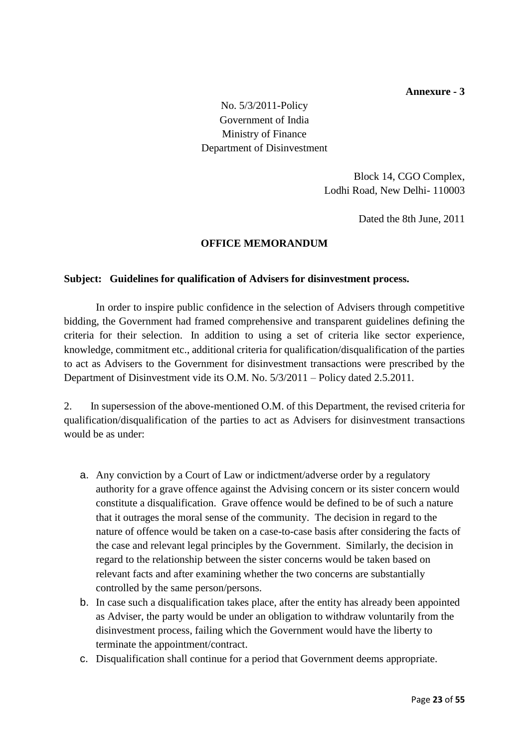**Annexure - 3**

No. 5/3/2011-Policy Government of India Ministry of Finance Department of Disinvestment

> Block 14, CGO Complex, Lodhi Road, New Delhi- 110003

> > Dated the 8th June, 2011

#### **OFFICE MEMORANDUM**

#### **Subject: Guidelines for qualification of Advisers for disinvestment process.**

In order to inspire public confidence in the selection of Advisers through competitive bidding, the Government had framed comprehensive and transparent guidelines defining the criteria for their selection. In addition to using a set of criteria like sector experience, knowledge, commitment etc., additional criteria for qualification/disqualification of the parties to act as Advisers to the Government for disinvestment transactions were prescribed by the Department of Disinvestment vide its O.M. No. 5/3/2011 – Policy dated 2.5.2011.

2. In supersession of the above-mentioned O.M. of this Department, the revised criteria for qualification/disqualification of the parties to act as Advisers for disinvestment transactions would be as under:

- a. Any conviction by a Court of Law or indictment/adverse order by a regulatory authority for a grave offence against the Advising concern or its sister concern would constitute a disqualification. Grave offence would be defined to be of such a nature that it outrages the moral sense of the community. The decision in regard to the nature of offence would be taken on a case-to-case basis after considering the facts of the case and relevant legal principles by the Government. Similarly, the decision in regard to the relationship between the sister concerns would be taken based on relevant facts and after examining whether the two concerns are substantially controlled by the same person/persons.
- b. In case such a disqualification takes place, after the entity has already been appointed as Adviser, the party would be under an obligation to withdraw voluntarily from the disinvestment process, failing which the Government would have the liberty to terminate the appointment/contract.
- c. Disqualification shall continue for a period that Government deems appropriate.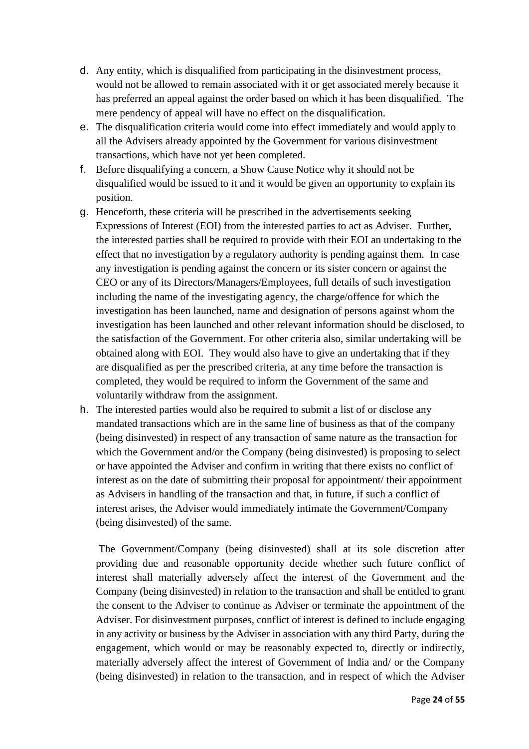- d. Any entity, which is disqualified from participating in the disinvestment process, would not be allowed to remain associated with it or get associated merely because it has preferred an appeal against the order based on which it has been disqualified. The mere pendency of appeal will have no effect on the disqualification.
- e. The disqualification criteria would come into effect immediately and would apply to all the Advisers already appointed by the Government for various disinvestment transactions, which have not yet been completed.
- f. Before disqualifying a concern, a Show Cause Notice why it should not be disqualified would be issued to it and it would be given an opportunity to explain its position.
- g. Henceforth, these criteria will be prescribed in the advertisements seeking Expressions of Interest (EOI) from the interested parties to act as Adviser. Further, the interested parties shall be required to provide with their EOI an undertaking to the effect that no investigation by a regulatory authority is pending against them. In case any investigation is pending against the concern or its sister concern or against the CEO or any of its Directors/Managers/Employees, full details of such investigation including the name of the investigating agency, the charge/offence for which the investigation has been launched, name and designation of persons against whom the investigation has been launched and other relevant information should be disclosed, to the satisfaction of the Government. For other criteria also, similar undertaking will be obtained along with EOI. They would also have to give an undertaking that if they are disqualified as per the prescribed criteria, at any time before the transaction is completed, they would be required to inform the Government of the same and voluntarily withdraw from the assignment.
- h. The interested parties would also be required to submit a list of or disclose any mandated transactions which are in the same line of business as that of the company (being disinvested) in respect of any transaction of same nature as the transaction for which the Government and/or the Company (being disinvested) is proposing to select or have appointed the Adviser and confirm in writing that there exists no conflict of interest as on the date of submitting their proposal for appointment/ their appointment as Advisers in handling of the transaction and that, in future, if such a conflict of interest arises, the Adviser would immediately intimate the Government/Company (being disinvested) of the same.

The Government/Company (being disinvested) shall at its sole discretion after providing due and reasonable opportunity decide whether such future conflict of interest shall materially adversely affect the interest of the Government and the Company (being disinvested) in relation to the transaction and shall be entitled to grant the consent to the Adviser to continue as Adviser or terminate the appointment of the Adviser. For disinvestment purposes, conflict of interest is defined to include engaging in any activity or business by the Adviser in association with any third Party, during the engagement, which would or may be reasonably expected to, directly or indirectly, materially adversely affect the interest of Government of India and/ or the Company (being disinvested) in relation to the transaction, and in respect of which the Adviser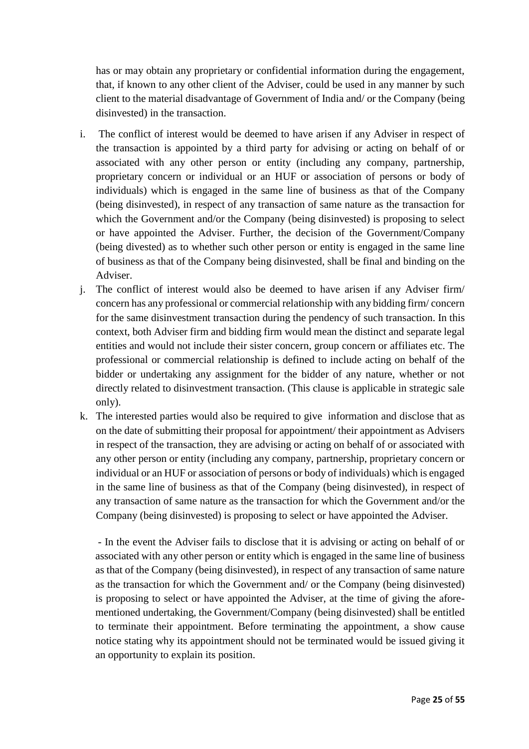has or may obtain any proprietary or confidential information during the engagement, that, if known to any other client of the Adviser, could be used in any manner by such client to the material disadvantage of Government of India and/ or the Company (being disinvested) in the transaction.

- i. The conflict of interest would be deemed to have arisen if any Adviser in respect of the transaction is appointed by a third party for advising or acting on behalf of or associated with any other person or entity (including any company, partnership, proprietary concern or individual or an HUF or association of persons or body of individuals) which is engaged in the same line of business as that of the Company (being disinvested), in respect of any transaction of same nature as the transaction for which the Government and/or the Company (being disinvested) is proposing to select or have appointed the Adviser. Further, the decision of the Government/Company (being divested) as to whether such other person or entity is engaged in the same line of business as that of the Company being disinvested, shall be final and binding on the Adviser.
- j. The conflict of interest would also be deemed to have arisen if any Adviser firm/ concern has any professional or commercial relationship with any bidding firm/ concern for the same disinvestment transaction during the pendency of such transaction. In this context, both Adviser firm and bidding firm would mean the distinct and separate legal entities and would not include their sister concern, group concern or affiliates etc. The professional or commercial relationship is defined to include acting on behalf of the bidder or undertaking any assignment for the bidder of any nature, whether or not directly related to disinvestment transaction. (This clause is applicable in strategic sale only).
- k. The interested parties would also be required to give information and disclose that as on the date of submitting their proposal for appointment/ their appointment as Advisers in respect of the transaction, they are advising or acting on behalf of or associated with any other person or entity (including any company, partnership, proprietary concern or individual or an HUF or association of persons or body of individuals) which is engaged in the same line of business as that of the Company (being disinvested), in respect of any transaction of same nature as the transaction for which the Government and/or the Company (being disinvested) is proposing to select or have appointed the Adviser.

- In the event the Adviser fails to disclose that it is advising or acting on behalf of or associated with any other person or entity which is engaged in the same line of business as that of the Company (being disinvested), in respect of any transaction of same nature as the transaction for which the Government and/ or the Company (being disinvested) is proposing to select or have appointed the Adviser, at the time of giving the aforementioned undertaking, the Government/Company (being disinvested) shall be entitled to terminate their appointment. Before terminating the appointment, a show cause notice stating why its appointment should not be terminated would be issued giving it an opportunity to explain its position.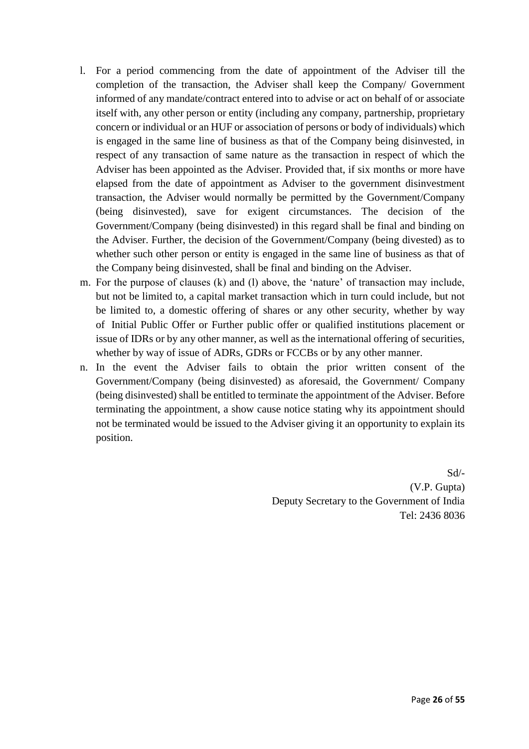- l. For a period commencing from the date of appointment of the Adviser till the completion of the transaction, the Adviser shall keep the Company/ Government informed of any mandate/contract entered into to advise or act on behalf of or associate itself with, any other person or entity (including any company, partnership, proprietary concern or individual or an HUF or association of persons or body of individuals) which is engaged in the same line of business as that of the Company being disinvested, in respect of any transaction of same nature as the transaction in respect of which the Adviser has been appointed as the Adviser. Provided that, if six months or more have elapsed from the date of appointment as Adviser to the government disinvestment transaction, the Adviser would normally be permitted by the Government/Company (being disinvested), save for exigent circumstances. The decision of the Government/Company (being disinvested) in this regard shall be final and binding on the Adviser. Further, the decision of the Government/Company (being divested) as to whether such other person or entity is engaged in the same line of business as that of the Company being disinvested, shall be final and binding on the Adviser.
- m. For the purpose of clauses (k) and (l) above, the 'nature' of transaction may include, but not be limited to, a capital market transaction which in turn could include, but not be limited to, a domestic offering of shares or any other security, whether by way of Initial Public Offer or Further public offer or qualified institutions placement or issue of IDRs or by any other manner, as well as the international offering of securities, whether by way of issue of ADRs, GDRs or FCCBs or by any other manner.
- n. In the event the Adviser fails to obtain the prior written consent of the Government/Company (being disinvested) as aforesaid, the Government/ Company (being disinvested) shall be entitled to terminate the appointment of the Adviser. Before terminating the appointment, a show cause notice stating why its appointment should not be terminated would be issued to the Adviser giving it an opportunity to explain its position.

Sd/- (V.P. Gupta) Deputy Secretary to the Government of India Tel: 2436 8036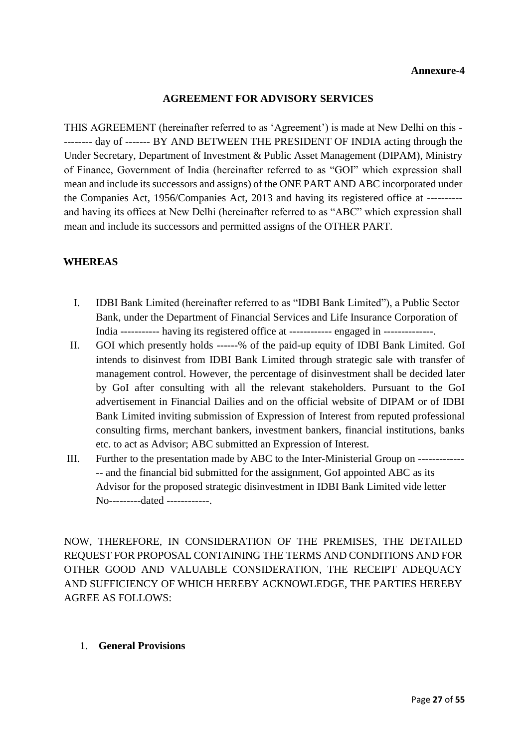#### **AGREEMENT FOR ADVISORY SERVICES**

THIS AGREEMENT (hereinafter referred to as 'Agreement') is made at New Delhi on this - -------- day of ------- BY AND BETWEEN THE PRESIDENT OF INDIA acting through the Under Secretary, Department of Investment & Public Asset Management (DIPAM), Ministry of Finance, Government of India (hereinafter referred to as "GOI" which expression shall mean and include its successors and assigns) of the ONE PART AND ABC incorporated under the Companies Act, 1956/Companies Act, 2013 and having its registered office at --------- and having its offices at New Delhi (hereinafter referred to as "ABC" which expression shall mean and include its successors and permitted assigns of the OTHER PART.

#### **WHEREAS**

- I. IDBI Bank Limited (hereinafter referred to as "IDBI Bank Limited"), a Public Sector Bank, under the Department of Financial Services and Life Insurance Corporation of India ----------- having its registered office at ------------ engaged in --------------
- II. GOI which presently holds ------% of the paid-up equity of IDBI Bank Limited. GoI intends to disinvest from IDBI Bank Limited through strategic sale with transfer of management control. However, the percentage of disinvestment shall be decided later by GoI after consulting with all the relevant stakeholders. Pursuant to the GoI advertisement in Financial Dailies and on the official website of DIPAM or of IDBI Bank Limited inviting submission of Expression of Interest from reputed professional consulting firms, merchant bankers, investment bankers, financial institutions, banks etc. to act as Advisor; ABC submitted an Expression of Interest.
- III. Further to the presentation made by ABC to the Inter-Ministerial Group on ------------- -- and the financial bid submitted for the assignment, GoI appointed ABC as its Advisor for the proposed strategic disinvestment in IDBI Bank Limited vide letter No---------dated ------------.

NOW, THEREFORE, IN CONSIDERATION OF THE PREMISES, THE DETAILED REQUEST FOR PROPOSAL CONTAINING THE TERMS AND CONDITIONS AND FOR OTHER GOOD AND VALUABLE CONSIDERATION, THE RECEIPT ADEQUACY AND SUFFICIENCY OF WHICH HEREBY ACKNOWLEDGE, THE PARTIES HEREBY AGREE AS FOLLOWS:

1. **General Provisions**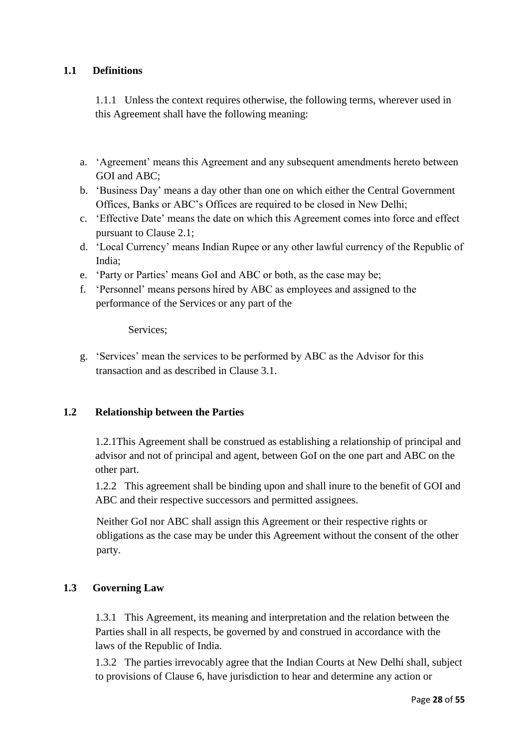### **1.1 Definitions**

1.1.1 Unless the context requires otherwise, the following terms, wherever used in this Agreement shall have the following meaning:

- a. 'Agreement' means this Agreement and any subsequent amendments hereto between GOI and ABC;
- b. 'Business Day' means a day other than one on which either the Central Government Offices, Banks or ABC's Offices are required to be closed in New Delhi;
- c. 'Effective Date' means the date on which this Agreement comes into force and effect pursuant to Clause 2.1;
- d. 'Local Currency' means Indian Rupee or any other lawful currency of the Republic of India;
- e. 'Party or Parties' means GoI and ABC or both, as the case may be;
- f. 'Personnel' means persons hired by ABC as employees and assigned to the performance of the Services or any part of the

Services;

g. 'Services' mean the services to be performed by ABC as the Advisor for this transaction and as described in Clause 3.1.

#### **1.2 Relationship between the Parties**

1.2.1This Agreement shall be construed as establishing a relationship of principal and advisor and not of principal and agent, between GoI on the one part and ABC on the other part.

1.2.2 This agreement shall be binding upon and shall inure to the benefit of GOI and ABC and their respective successors and permitted assignees.

Neither GoI nor ABC shall assign this Agreement or their respective rights or obligations as the case may be under this Agreement without the consent of the other party.

### **1.3 Governing Law**

1.3.1 This Agreement, its meaning and interpretation and the relation between the Parties shall in all respects, be governed by and construed in accordance with the laws of the Republic of India.

1.3.2 The parties irrevocably agree that the Indian Courts at New Delhi shall, subject to provisions of Clause 6, have jurisdiction to hear and determine any action or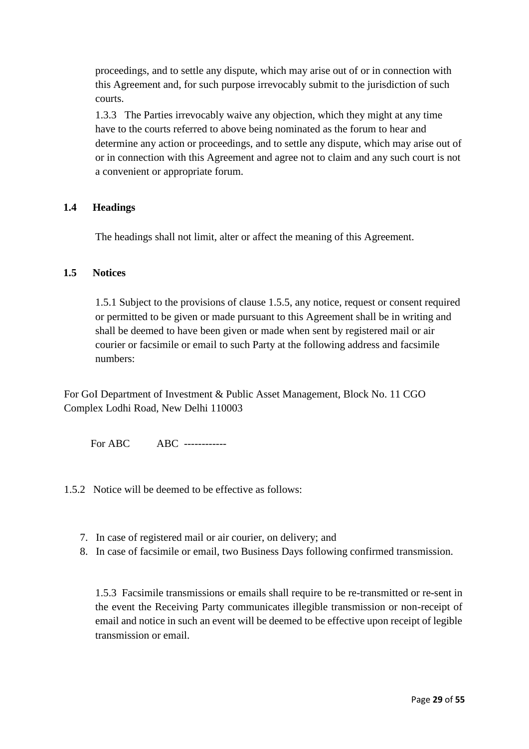proceedings, and to settle any dispute, which may arise out of or in connection with this Agreement and, for such purpose irrevocably submit to the jurisdiction of such courts.

1.3.3 The Parties irrevocably waive any objection, which they might at any time have to the courts referred to above being nominated as the forum to hear and determine any action or proceedings, and to settle any dispute, which may arise out of or in connection with this Agreement and agree not to claim and any such court is not a convenient or appropriate forum.

### **1.4 Headings**

The headings shall not limit, alter or affect the meaning of this Agreement.

#### **1.5 Notices**

1.5.1 Subject to the provisions of clause 1.5.5, any notice, request or consent required or permitted to be given or made pursuant to this Agreement shall be in writing and shall be deemed to have been given or made when sent by registered mail or air courier or facsimile or email to such Party at the following address and facsimile numbers:

For GoI Department of Investment & Public Asset Management, Block No. 11 CGO Complex Lodhi Road, New Delhi 110003

For ABC ABC ------------

1.5.2 Notice will be deemed to be effective as follows:

- 7. In case of registered mail or air courier, on delivery; and
- 8. In case of facsimile or email, two Business Days following confirmed transmission.

1.5.3 Facsimile transmissions or emails shall require to be re-transmitted or re-sent in the event the Receiving Party communicates illegible transmission or non-receipt of email and notice in such an event will be deemed to be effective upon receipt of legible transmission or email.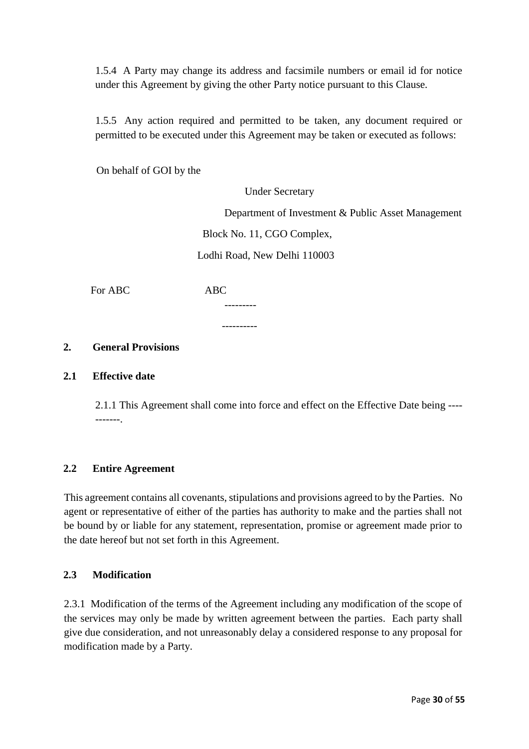1.5.4 A Party may change its address and facsimile numbers or email id for notice under this Agreement by giving the other Party notice pursuant to this Clause.

1.5.5 Any action required and permitted to be taken, any document required or permitted to be executed under this Agreement may be taken or executed as follows:

On behalf of GOI by the

Under Secretary

Department of Investment & Public Asset Management

Block No. 11, CGO Complex,

Lodhi Road, New Delhi 110003

For ABC ABC

---------

----------

#### **2. General Provisions**

#### **2.1 Effective date**

2.1.1 This Agreement shall come into force and effect on the Effective Date being ---- -------.

#### **2.2 Entire Agreement**

This agreement contains all covenants, stipulations and provisions agreed to by the Parties. No agent or representative of either of the parties has authority to make and the parties shall not be bound by or liable for any statement, representation, promise or agreement made prior to the date hereof but not set forth in this Agreement.

#### **2.3 Modification**

2.3.1 Modification of the terms of the Agreement including any modification of the scope of the services may only be made by written agreement between the parties. Each party shall give due consideration, and not unreasonably delay a considered response to any proposal for modification made by a Party.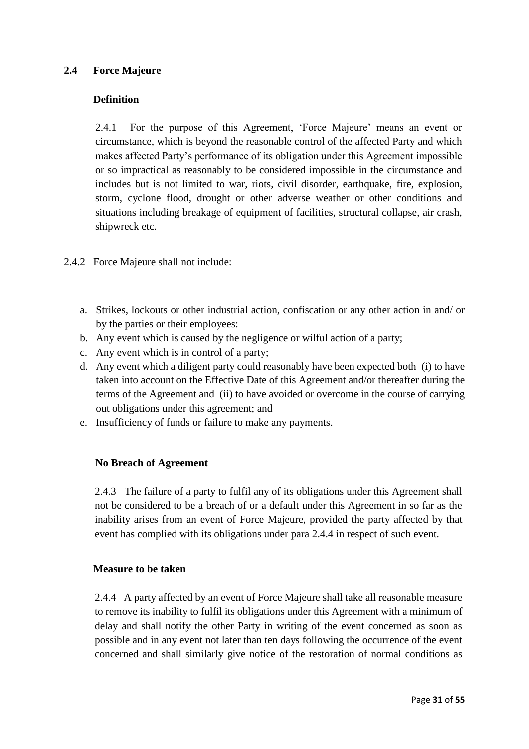### **2.4 Force Majeure**

#### **Definition**

2.4.1 For the purpose of this Agreement, 'Force Majeure' means an event or circumstance, which is beyond the reasonable control of the affected Party and which makes affected Party's performance of its obligation under this Agreement impossible or so impractical as reasonably to be considered impossible in the circumstance and includes but is not limited to war, riots, civil disorder, earthquake, fire, explosion, storm, cyclone flood, drought or other adverse weather or other conditions and situations including breakage of equipment of facilities, structural collapse, air crash, shipwreck etc.

2.4.2 Force Majeure shall not include:

- a. Strikes, lockouts or other industrial action, confiscation or any other action in and/ or by the parties or their employees:
- b. Any event which is caused by the negligence or wilful action of a party;
- c. Any event which is in control of a party;
- d. Any event which a diligent party could reasonably have been expected both (i) to have taken into account on the Effective Date of this Agreement and/or thereafter during the terms of the Agreement and (ii) to have avoided or overcome in the course of carrying out obligations under this agreement; and
- e. Insufficiency of funds or failure to make any payments.

#### **No Breach of Agreement**

2.4.3 The failure of a party to fulfil any of its obligations under this Agreement shall not be considered to be a breach of or a default under this Agreement in so far as the inability arises from an event of Force Majeure, provided the party affected by that event has complied with its obligations under para 2.4.4 in respect of such event.

#### **Measure to be taken**

2.4.4 A party affected by an event of Force Majeure shall take all reasonable measure to remove its inability to fulfil its obligations under this Agreement with a minimum of delay and shall notify the other Party in writing of the event concerned as soon as possible and in any event not later than ten days following the occurrence of the event concerned and shall similarly give notice of the restoration of normal conditions as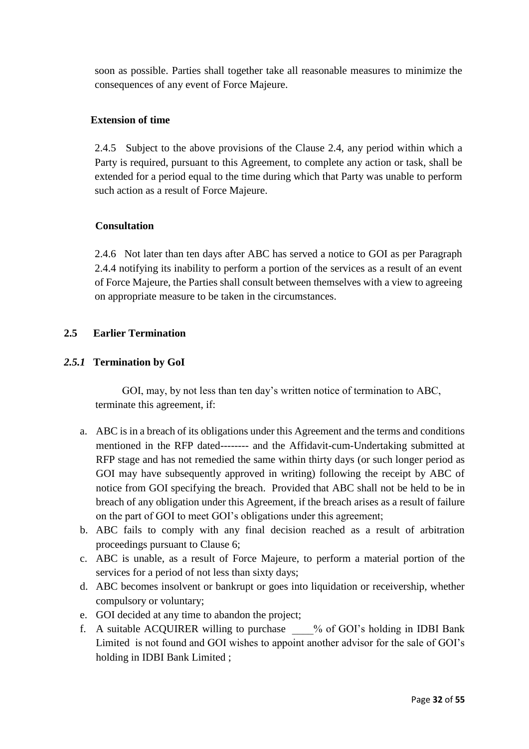soon as possible. Parties shall together take all reasonable measures to minimize the consequences of any event of Force Majeure.

#### **Extension of time**

2.4.5 Subject to the above provisions of the Clause 2.4, any period within which a Party is required, pursuant to this Agreement, to complete any action or task, shall be extended for a period equal to the time during which that Party was unable to perform such action as a result of Force Majeure.

#### **Consultation**

2.4.6 Not later than ten days after ABC has served a notice to GOI as per Paragraph 2.4.4 notifying its inability to perform a portion of the services as a result of an event of Force Majeure, the Parties shall consult between themselves with a view to agreeing on appropriate measure to be taken in the circumstances.

#### **2.5 Earlier Termination**

#### *2.5.1* **Termination by GoI**

 GOI, may, by not less than ten day's written notice of termination to ABC, terminate this agreement, if:

- a. ABC is in a breach of its obligations under this Agreement and the terms and conditions mentioned in the RFP dated-------- and the Affidavit-cum-Undertaking submitted at RFP stage and has not remedied the same within thirty days (or such longer period as GOI may have subsequently approved in writing) following the receipt by ABC of notice from GOI specifying the breach. Provided that ABC shall not be held to be in breach of any obligation under this Agreement, if the breach arises as a result of failure on the part of GOI to meet GOI's obligations under this agreement;
- b. ABC fails to comply with any final decision reached as a result of arbitration proceedings pursuant to Clause 6;
- c. ABC is unable, as a result of Force Majeure, to perform a material portion of the services for a period of not less than sixty days;
- d. ABC becomes insolvent or bankrupt or goes into liquidation or receivership, whether compulsory or voluntary;
- e. GOI decided at any time to abandon the project;
- f. A suitable ACQUIRER willing to purchase \_\_\_\_% of GOI's holding in IDBI Bank Limited is not found and GOI wishes to appoint another advisor for the sale of GOI's holding in IDBI Bank Limited ;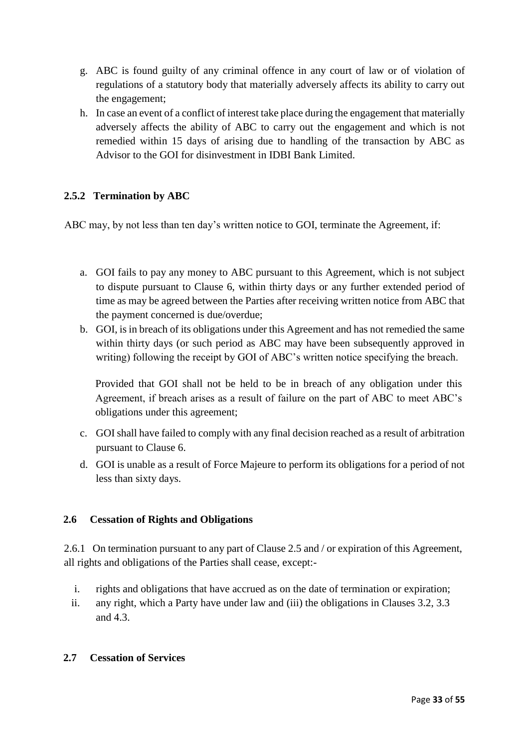- g. ABC is found guilty of any criminal offence in any court of law or of violation of regulations of a statutory body that materially adversely affects its ability to carry out the engagement;
- h. In case an event of a conflict of interest take place during the engagement that materially adversely affects the ability of ABC to carry out the engagement and which is not remedied within 15 days of arising due to handling of the transaction by ABC as Advisor to the GOI for disinvestment in IDBI Bank Limited.

# **2.5.2 Termination by ABC**

ABC may, by not less than ten day's written notice to GOI, terminate the Agreement, if:

- a. GOI fails to pay any money to ABC pursuant to this Agreement, which is not subject to dispute pursuant to Clause 6, within thirty days or any further extended period of time as may be agreed between the Parties after receiving written notice from ABC that the payment concerned is due/overdue;
- b. GOI, is in breach of its obligations under this Agreement and has not remedied the same within thirty days (or such period as ABC may have been subsequently approved in writing) following the receipt by GOI of ABC's written notice specifying the breach.

Provided that GOI shall not be held to be in breach of any obligation under this Agreement, if breach arises as a result of failure on the part of ABC to meet ABC's obligations under this agreement;

- c. GOI shall have failed to comply with any final decision reached as a result of arbitration pursuant to Clause 6.
- d. GOI is unable as a result of Force Majeure to perform its obligations for a period of not less than sixty days.

### **2.6 Cessation of Rights and Obligations**

2.6.1 On termination pursuant to any part of Clause 2.5 and / or expiration of this Agreement, all rights and obligations of the Parties shall cease, except:-

- i. rights and obligations that have accrued as on the date of termination or expiration;
- ii. any right, which a Party have under law and (iii) the obligations in Clauses 3.2, 3.3 and 4.3.

#### **2.7 Cessation of Services**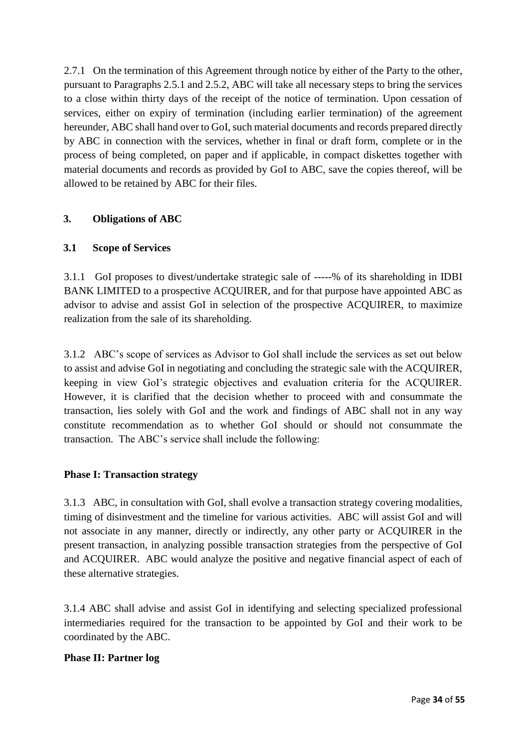2.7.1 On the termination of this Agreement through notice by either of the Party to the other, pursuant to Paragraphs 2.5.1 and 2.5.2, ABC will take all necessary steps to bring the services to a close within thirty days of the receipt of the notice of termination. Upon cessation of services, either on expiry of termination (including earlier termination) of the agreement hereunder, ABC shall hand over to GoI, such material documents and records prepared directly by ABC in connection with the services, whether in final or draft form, complete or in the process of being completed, on paper and if applicable, in compact diskettes together with material documents and records as provided by GoI to ABC, save the copies thereof, will be allowed to be retained by ABC for their files.

### **3. Obligations of ABC**

### **3.1 Scope of Services**

3.1.1 GoI proposes to divest/undertake strategic sale of -----% of its shareholding in IDBI BANK LIMITED to a prospective ACQUIRER, and for that purpose have appointed ABC as advisor to advise and assist GoI in selection of the prospective ACQUIRER, to maximize realization from the sale of its shareholding.

3.1.2 ABC's scope of services as Advisor to GoI shall include the services as set out below to assist and advise GoI in negotiating and concluding the strategic sale with the ACQUIRER, keeping in view GoI's strategic objectives and evaluation criteria for the ACQUIRER. However, it is clarified that the decision whether to proceed with and consummate the transaction, lies solely with GoI and the work and findings of ABC shall not in any way constitute recommendation as to whether GoI should or should not consummate the transaction. The ABC's service shall include the following:

### **Phase I: Transaction strategy**

3.1.3 ABC, in consultation with GoI, shall evolve a transaction strategy covering modalities, timing of disinvestment and the timeline for various activities. ABC will assist GoI and will not associate in any manner, directly or indirectly, any other party or ACQUIRER in the present transaction, in analyzing possible transaction strategies from the perspective of GoI and ACQUIRER. ABC would analyze the positive and negative financial aspect of each of these alternative strategies.

3.1.4 ABC shall advise and assist GoI in identifying and selecting specialized professional intermediaries required for the transaction to be appointed by GoI and their work to be coordinated by the ABC.

### **Phase II: Partner log**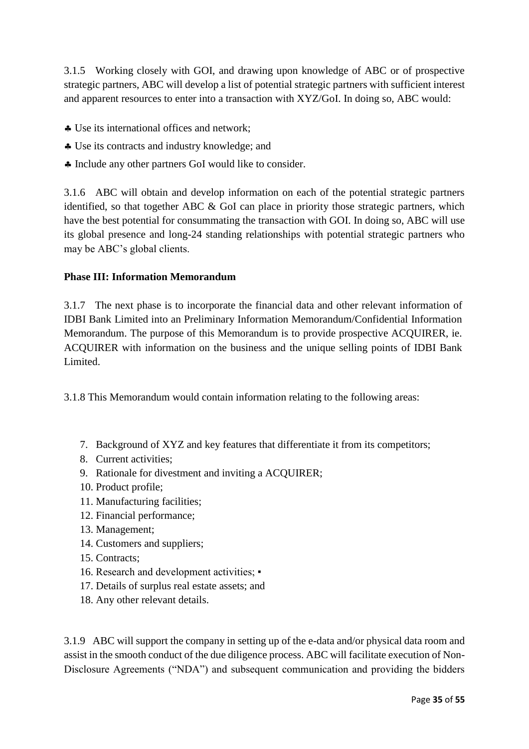3.1.5 Working closely with GOI, and drawing upon knowledge of ABC or of prospective strategic partners, ABC will develop a list of potential strategic partners with sufficient interest and apparent resources to enter into a transaction with XYZ/GoI. In doing so, ABC would:

- Use its international offices and network;
- Use its contracts and industry knowledge; and
- Include any other partners GoI would like to consider.

3.1.6 ABC will obtain and develop information on each of the potential strategic partners identified, so that together ABC & GoI can place in priority those strategic partners, which have the best potential for consummating the transaction with GOI. In doing so, ABC will use its global presence and long-24 standing relationships with potential strategic partners who may be ABC's global clients.

### **Phase III: Information Memorandum**

3.1.7 The next phase is to incorporate the financial data and other relevant information of IDBI Bank Limited into an Preliminary Information Memorandum/Confidential Information Memorandum. The purpose of this Memorandum is to provide prospective ACQUIRER, ie. ACQUIRER with information on the business and the unique selling points of IDBI Bank Limited.

3.1.8 This Memorandum would contain information relating to the following areas:

- 7. Background of XYZ and key features that differentiate it from its competitors;
- 8. Current activities;
- 9. Rationale for divestment and inviting a ACQUIRER;
- 10. Product profile;
- 11. Manufacturing facilities;
- 12. Financial performance;
- 13. Management;
- 14. Customers and suppliers;
- 15. Contracts;
- 16. Research and development activities;  $\blacksquare$
- 17. Details of surplus real estate assets; and
- 18. Any other relevant details.

3.1.9 ABC will support the company in setting up of the e-data and/or physical data room and assist in the smooth conduct of the due diligence process. ABC will facilitate execution of Non-Disclosure Agreements ("NDA") and subsequent communication and providing the bidders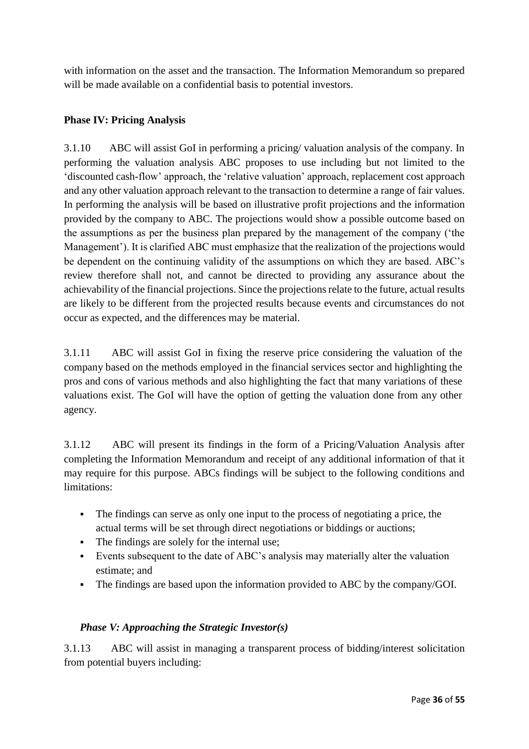with information on the asset and the transaction. The Information Memorandum so prepared will be made available on a confidential basis to potential investors.

### **Phase IV: Pricing Analysis**

3.1.10 ABC will assist GoI in performing a pricing/ valuation analysis of the company. In performing the valuation analysis ABC proposes to use including but not limited to the 'discounted cash-flow' approach, the 'relative valuation' approach, replacement cost approach and any other valuation approach relevant to the transaction to determine a range of fair values. In performing the analysis will be based on illustrative profit projections and the information provided by the company to ABC. The projections would show a possible outcome based on the assumptions as per the business plan prepared by the management of the company ('the Management'). It is clarified ABC must emphasize that the realization of the projections would be dependent on the continuing validity of the assumptions on which they are based. ABC's review therefore shall not, and cannot be directed to providing any assurance about the achievability of the financial projections. Since the projections relate to the future, actual results are likely to be different from the projected results because events and circumstances do not occur as expected, and the differences may be material.

3.1.11 ABC will assist GoI in fixing the reserve price considering the valuation of the company based on the methods employed in the financial services sector and highlighting the pros and cons of various methods and also highlighting the fact that many variations of these valuations exist. The GoI will have the option of getting the valuation done from any other agency.

3.1.12 ABC will present its findings in the form of a Pricing/Valuation Analysis after completing the Information Memorandum and receipt of any additional information of that it may require for this purpose. ABCs findings will be subject to the following conditions and limitations:

- The findings can serve as only one input to the process of negotiating a price, the actual terms will be set through direct negotiations or biddings or auctions;
- The findings are solely for the internal use;
- Events subsequent to the date of ABC's analysis may materially alter the valuation estimate; and
- The findings are based upon the information provided to ABC by the company/GOI.

### *Phase V: Approaching the Strategic Investor(s)*

3.1.13 ABC will assist in managing a transparent process of bidding/interest solicitation from potential buyers including: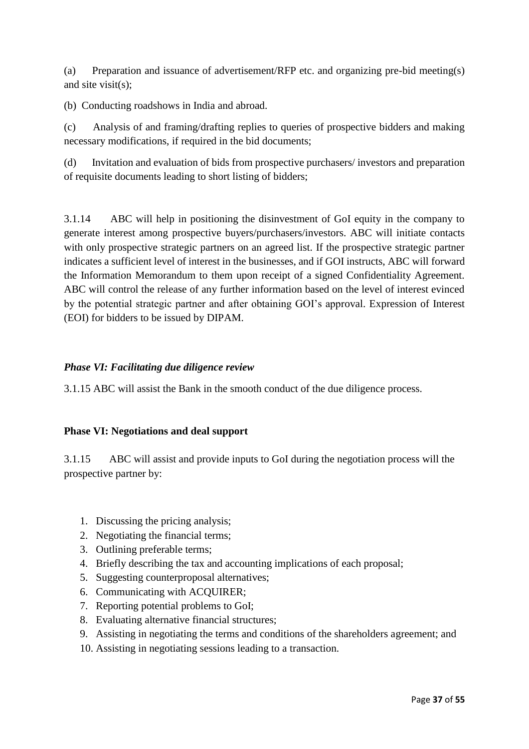(a) Preparation and issuance of advertisement/RFP etc. and organizing pre-bid meeting(s) and site visit(s);

(b) Conducting roadshows in India and abroad.

(c) Analysis of and framing/drafting replies to queries of prospective bidders and making necessary modifications, if required in the bid documents;

(d) Invitation and evaluation of bids from prospective purchasers/ investors and preparation of requisite documents leading to short listing of bidders;

3.1.14 ABC will help in positioning the disinvestment of GoI equity in the company to generate interest among prospective buyers/purchasers/investors. ABC will initiate contacts with only prospective strategic partners on an agreed list. If the prospective strategic partner indicates a sufficient level of interest in the businesses, and if GOI instructs, ABC will forward the Information Memorandum to them upon receipt of a signed Confidentiality Agreement. ABC will control the release of any further information based on the level of interest evinced by the potential strategic partner and after obtaining GOI's approval. Expression of Interest (EOI) for bidders to be issued by DIPAM.

#### *Phase VI: Facilitating due diligence review*

3.1.15 ABC will assist the Bank in the smooth conduct of the due diligence process.

#### **Phase VI: Negotiations and deal support**

3.1.15 ABC will assist and provide inputs to GoI during the negotiation process will the prospective partner by:

- 1. Discussing the pricing analysis;
- 2. Negotiating the financial terms;
- 3. Outlining preferable terms;
- 4. Briefly describing the tax and accounting implications of each proposal;
- 5. Suggesting counterproposal alternatives;
- 6. Communicating with ACQUIRER;
- 7. Reporting potential problems to GoI;
- 8. Evaluating alternative financial structures;
- 9. Assisting in negotiating the terms and conditions of the shareholders agreement; and
- 10. Assisting in negotiating sessions leading to a transaction.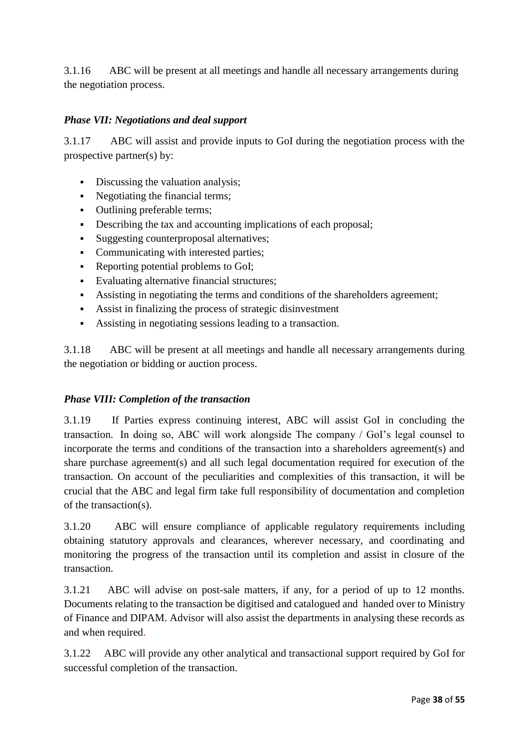3.1.16 ABC will be present at all meetings and handle all necessary arrangements during the negotiation process.

### *Phase VII: Negotiations and deal support*

3.1.17 ABC will assist and provide inputs to GoI during the negotiation process with the prospective partner(s) by:

- Discussing the valuation analysis;
- Negotiating the financial terms;
- Outlining preferable terms:
- **•** Describing the tax and accounting implications of each proposal;
- Suggesting counterproposal alternatives;
- Communicating with interested parties;
- Reporting potential problems to GoI;
- Evaluating alternative financial structures;
- Assisting in negotiating the terms and conditions of the shareholders agreement;
- Assist in finalizing the process of strategic disinvestment
- Assisting in negotiating sessions leading to a transaction.

3.1.18 ABC will be present at all meetings and handle all necessary arrangements during the negotiation or bidding or auction process.

### *Phase VIII: Completion of the transaction*

3.1.19 If Parties express continuing interest, ABC will assist GoI in concluding the transaction. In doing so, ABC will work alongside The company / GoI's legal counsel to incorporate the terms and conditions of the transaction into a shareholders agreement(s) and share purchase agreement(s) and all such legal documentation required for execution of the transaction. On account of the peculiarities and complexities of this transaction, it will be crucial that the ABC and legal firm take full responsibility of documentation and completion of the transaction(s).

3.1.20 ABC will ensure compliance of applicable regulatory requirements including obtaining statutory approvals and clearances, wherever necessary, and coordinating and monitoring the progress of the transaction until its completion and assist in closure of the transaction.

3.1.21 ABC will advise on post-sale matters, if any, for a period of up to 12 months. Documents relating to the transaction be digitised and catalogued and handed over to Ministry of Finance and DIPAM. Advisor will also assist the departments in analysing these records as and when required.

3.1.22 ABC will provide any other analytical and transactional support required by GoI for successful completion of the transaction.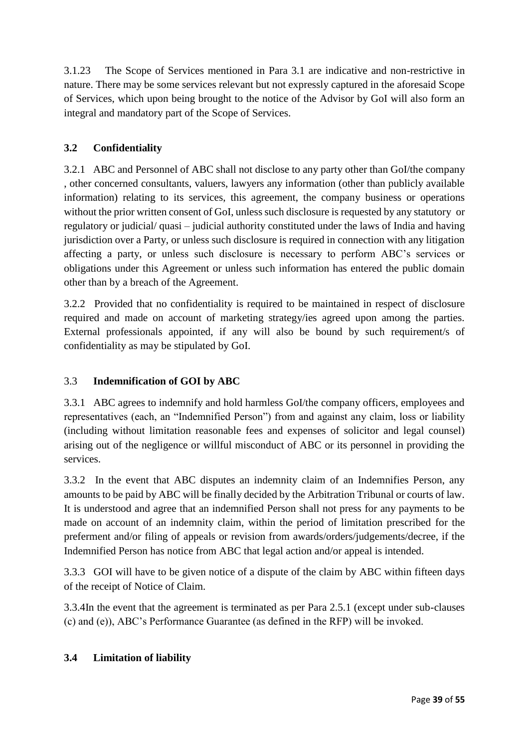3.1.23 The Scope of Services mentioned in Para 3.1 are indicative and non-restrictive in nature. There may be some services relevant but not expressly captured in the aforesaid Scope of Services, which upon being brought to the notice of the Advisor by GoI will also form an integral and mandatory part of the Scope of Services.

## **3.2 Confidentiality**

3.2.1 ABC and Personnel of ABC shall not disclose to any party other than GoI/the company , other concerned consultants, valuers, lawyers any information (other than publicly available information) relating to its services, this agreement, the company business or operations without the prior written consent of GoI, unless such disclosure is requested by any statutory or regulatory or judicial/ quasi – judicial authority constituted under the laws of India and having jurisdiction over a Party, or unless such disclosure is required in connection with any litigation affecting a party, or unless such disclosure is necessary to perform ABC's services or obligations under this Agreement or unless such information has entered the public domain other than by a breach of the Agreement.

3.2.2 Provided that no confidentiality is required to be maintained in respect of disclosure required and made on account of marketing strategy/ies agreed upon among the parties. External professionals appointed, if any will also be bound by such requirement/s of confidentiality as may be stipulated by GoI.

## 3.3 **Indemnification of GOI by ABC**

3.3.1 ABC agrees to indemnify and hold harmless GoI/the company officers, employees and representatives (each, an "Indemnified Person") from and against any claim, loss or liability (including without limitation reasonable fees and expenses of solicitor and legal counsel) arising out of the negligence or willful misconduct of ABC or its personnel in providing the services.

3.3.2 In the event that ABC disputes an indemnity claim of an Indemnifies Person, any amounts to be paid by ABC will be finally decided by the Arbitration Tribunal or courts of law. It is understood and agree that an indemnified Person shall not press for any payments to be made on account of an indemnity claim, within the period of limitation prescribed for the preferment and/or filing of appeals or revision from awards/orders/judgements/decree, if the Indemnified Person has notice from ABC that legal action and/or appeal is intended.

3.3.3 GOI will have to be given notice of a dispute of the claim by ABC within fifteen days of the receipt of Notice of Claim.

3.3.4In the event that the agreement is terminated as per Para 2.5.1 (except under sub-clauses (c) and (e)), ABC's Performance Guarantee (as defined in the RFP) will be invoked.

### **3.4 Limitation of liability**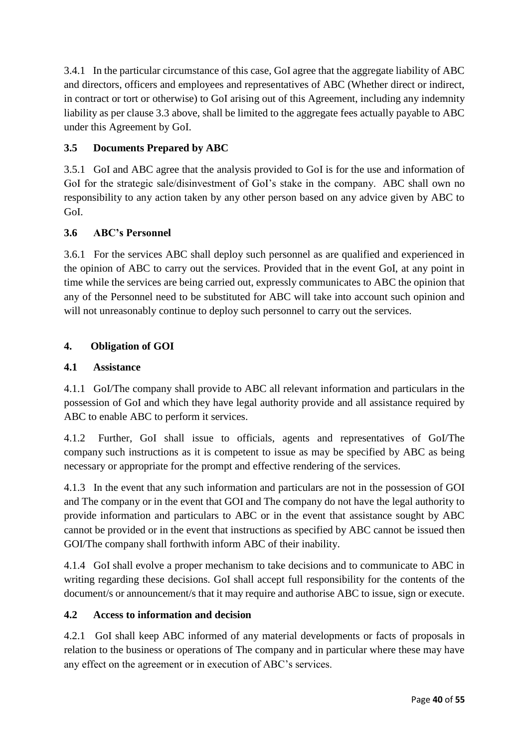3.4.1 In the particular circumstance of this case, GoI agree that the aggregate liability of ABC and directors, officers and employees and representatives of ABC (Whether direct or indirect, in contract or tort or otherwise) to GoI arising out of this Agreement, including any indemnity liability as per clause 3.3 above, shall be limited to the aggregate fees actually payable to ABC under this Agreement by GoI.

# **3.5 Documents Prepared by ABC**

3.5.1 GoI and ABC agree that the analysis provided to GoI is for the use and information of GoI for the strategic sale/disinvestment of GoI's stake in the company. ABC shall own no responsibility to any action taken by any other person based on any advice given by ABC to GoI.

# **3.6 ABC's Personnel**

3.6.1 For the services ABC shall deploy such personnel as are qualified and experienced in the opinion of ABC to carry out the services. Provided that in the event GoI, at any point in time while the services are being carried out, expressly communicates to ABC the opinion that any of the Personnel need to be substituted for ABC will take into account such opinion and will not unreasonably continue to deploy such personnel to carry out the services.

### **4. Obligation of GOI**

### **4.1 Assistance**

4.1.1 GoI/The company shall provide to ABC all relevant information and particulars in the possession of GoI and which they have legal authority provide and all assistance required by ABC to enable ABC to perform it services.

4.1.2 Further, GoI shall issue to officials, agents and representatives of GoI/The company such instructions as it is competent to issue as may be specified by ABC as being necessary or appropriate for the prompt and effective rendering of the services.

4.1.3 In the event that any such information and particulars are not in the possession of GOI and The company or in the event that GOI and The company do not have the legal authority to provide information and particulars to ABC or in the event that assistance sought by ABC cannot be provided or in the event that instructions as specified by ABC cannot be issued then GOI/The company shall forthwith inform ABC of their inability.

4.1.4 GoI shall evolve a proper mechanism to take decisions and to communicate to ABC in writing regarding these decisions. GoI shall accept full responsibility for the contents of the document/s or announcement/s that it may require and authorise ABC to issue, sign or execute.

# **4.2 Access to information and decision**

4.2.1 GoI shall keep ABC informed of any material developments or facts of proposals in relation to the business or operations of The company and in particular where these may have any effect on the agreement or in execution of ABC's services.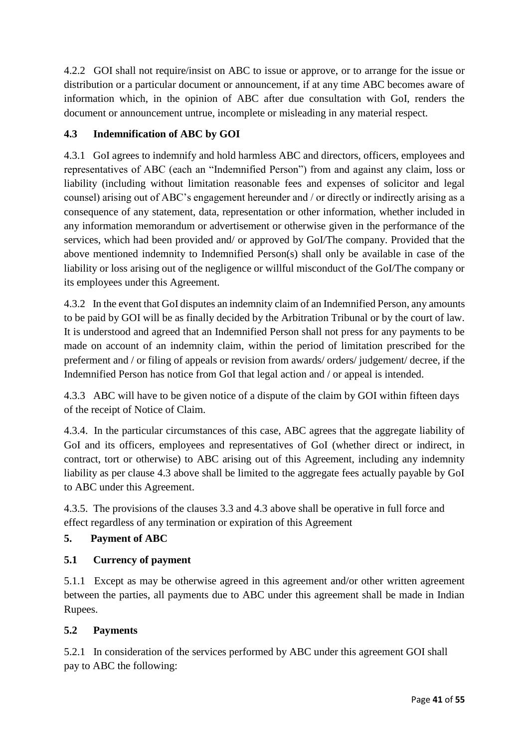4.2.2 GOI shall not require/insist on ABC to issue or approve, or to arrange for the issue or distribution or a particular document or announcement, if at any time ABC becomes aware of information which, in the opinion of ABC after due consultation with GoI, renders the document or announcement untrue, incomplete or misleading in any material respect.

# **4.3 Indemnification of ABC by GOI**

4.3.1 GoI agrees to indemnify and hold harmless ABC and directors, officers, employees and representatives of ABC (each an "Indemnified Person") from and against any claim, loss or liability (including without limitation reasonable fees and expenses of solicitor and legal counsel) arising out of ABC's engagement hereunder and / or directly or indirectly arising as a consequence of any statement, data, representation or other information, whether included in any information memorandum or advertisement or otherwise given in the performance of the services, which had been provided and/ or approved by GoI/The company. Provided that the above mentioned indemnity to Indemnified Person(s) shall only be available in case of the liability or loss arising out of the negligence or willful misconduct of the GoI/The company or its employees under this Agreement.

4.3.2 In the event that GoI disputes an indemnity claim of an Indemnified Person, any amounts to be paid by GOI will be as finally decided by the Arbitration Tribunal or by the court of law. It is understood and agreed that an Indemnified Person shall not press for any payments to be made on account of an indemnity claim, within the period of limitation prescribed for the preferment and / or filing of appeals or revision from awards/ orders/ judgement/ decree, if the Indemnified Person has notice from GoI that legal action and / or appeal is intended.

4.3.3 ABC will have to be given notice of a dispute of the claim by GOI within fifteen days of the receipt of Notice of Claim.

4.3.4. In the particular circumstances of this case, ABC agrees that the aggregate liability of GoI and its officers, employees and representatives of GoI (whether direct or indirect, in contract, tort or otherwise) to ABC arising out of this Agreement, including any indemnity liability as per clause 4.3 above shall be limited to the aggregate fees actually payable by GoI to ABC under this Agreement.

4.3.5. The provisions of the clauses 3.3 and 4.3 above shall be operative in full force and effect regardless of any termination or expiration of this Agreement

# **5. Payment of ABC**

# **5.1 Currency of payment**

5.1.1 Except as may be otherwise agreed in this agreement and/or other written agreement between the parties, all payments due to ABC under this agreement shall be made in Indian Rupees.

# **5.2 Payments**

5.2.1 In consideration of the services performed by ABC under this agreement GOI shall pay to ABC the following: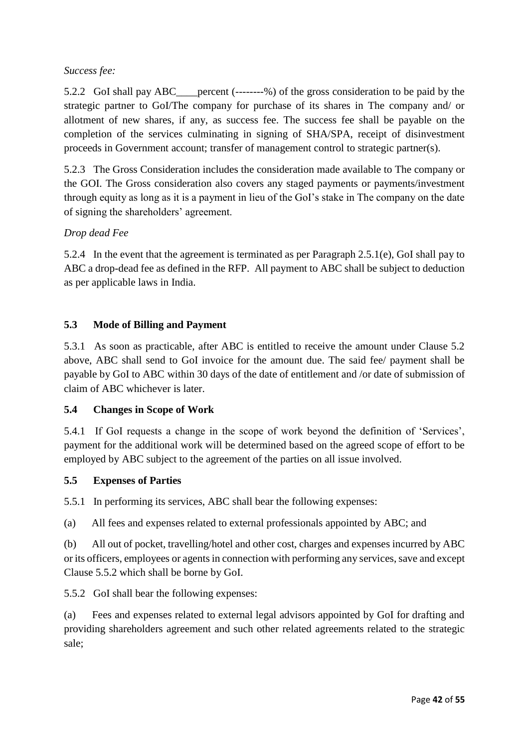### *Success fee:*

5.2.2 GoI shall pay ABC\_\_\_\_percent (--------%) of the gross consideration to be paid by the strategic partner to GoI/The company for purchase of its shares in The company and/ or allotment of new shares, if any, as success fee. The success fee shall be payable on the completion of the services culminating in signing of SHA/SPA, receipt of disinvestment proceeds in Government account; transfer of management control to strategic partner(s).

5.2.3 The Gross Consideration includes the consideration made available to The company or the GOI. The Gross consideration also covers any staged payments or payments/investment through equity as long as it is a payment in lieu of the GoI's stake in The company on the date of signing the shareholders' agreement.

# *Drop dead Fee*

5.2.4 In the event that the agreement is terminated as per Paragraph 2.5.1(e), GoI shall pay to ABC a drop-dead fee as defined in the RFP. All payment to ABC shall be subject to deduction as per applicable laws in India.

### **5.3 Mode of Billing and Payment**

5.3.1 As soon as practicable, after ABC is entitled to receive the amount under Clause 5.2 above, ABC shall send to GoI invoice for the amount due. The said fee/ payment shall be payable by GoI to ABC within 30 days of the date of entitlement and /or date of submission of claim of ABC whichever is later.

### **5.4 Changes in Scope of Work**

5.4.1 If GoI requests a change in the scope of work beyond the definition of 'Services', payment for the additional work will be determined based on the agreed scope of effort to be employed by ABC subject to the agreement of the parties on all issue involved.

### **5.5 Expenses of Parties**

5.5.1 In performing its services, ABC shall bear the following expenses:

(a) All fees and expenses related to external professionals appointed by ABC; and

(b) All out of pocket, travelling/hotel and other cost, charges and expenses incurred by ABC or its officers, employees or agents in connection with performing any services, save and except Clause 5.5.2 which shall be borne by GoI.

5.5.2 GoI shall bear the following expenses:

(a) Fees and expenses related to external legal advisors appointed by GoI for drafting and providing shareholders agreement and such other related agreements related to the strategic sale;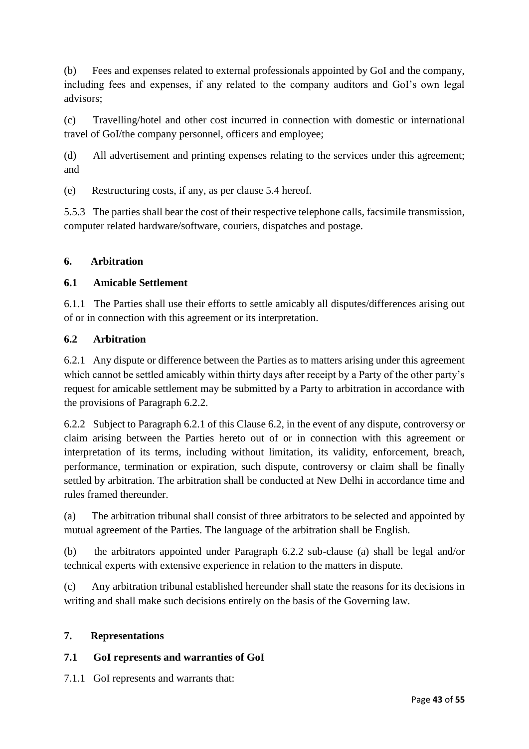(b) Fees and expenses related to external professionals appointed by GoI and the company, including fees and expenses, if any related to the company auditors and GoI's own legal advisors;

(c) Travelling/hotel and other cost incurred in connection with domestic or international travel of GoI/the company personnel, officers and employee;

(d) All advertisement and printing expenses relating to the services under this agreement; and

(e) Restructuring costs, if any, as per clause 5.4 hereof.

5.5.3 The parties shall bear the cost of their respective telephone calls, facsimile transmission, computer related hardware/software, couriers, dispatches and postage.

### **6. Arbitration**

### **6.1 Amicable Settlement**

6.1.1 The Parties shall use their efforts to settle amicably all disputes/differences arising out of or in connection with this agreement or its interpretation.

### **6.2 Arbitration**

6.2.1 Any dispute or difference between the Parties as to matters arising under this agreement which cannot be settled amicably within thirty days after receipt by a Party of the other party's request for amicable settlement may be submitted by a Party to arbitration in accordance with the provisions of Paragraph 6.2.2.

6.2.2 Subject to Paragraph 6.2.1 of this Clause 6.2, in the event of any dispute, controversy or claim arising between the Parties hereto out of or in connection with this agreement or interpretation of its terms, including without limitation, its validity, enforcement, breach, performance, termination or expiration, such dispute, controversy or claim shall be finally settled by arbitration. The arbitration shall be conducted at New Delhi in accordance time and rules framed thereunder.

(a) The arbitration tribunal shall consist of three arbitrators to be selected and appointed by mutual agreement of the Parties. The language of the arbitration shall be English.

(b) the arbitrators appointed under Paragraph 6.2.2 sub-clause (a) shall be legal and/or technical experts with extensive experience in relation to the matters in dispute.

(c) Any arbitration tribunal established hereunder shall state the reasons for its decisions in writing and shall make such decisions entirely on the basis of the Governing law.

# **7. Representations**

# **7.1 GoI represents and warranties of GoI**

7.1.1 GoI represents and warrants that: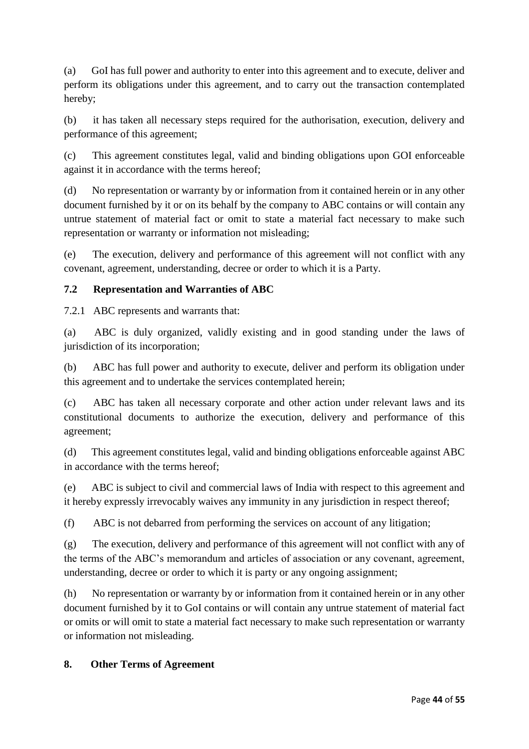(a) GoI has full power and authority to enter into this agreement and to execute, deliver and perform its obligations under this agreement, and to carry out the transaction contemplated hereby;

(b) it has taken all necessary steps required for the authorisation, execution, delivery and performance of this agreement;

(c) This agreement constitutes legal, valid and binding obligations upon GOI enforceable against it in accordance with the terms hereof;

(d) No representation or warranty by or information from it contained herein or in any other document furnished by it or on its behalf by the company to ABC contains or will contain any untrue statement of material fact or omit to state a material fact necessary to make such representation or warranty or information not misleading;

(e) The execution, delivery and performance of this agreement will not conflict with any covenant, agreement, understanding, decree or order to which it is a Party.

# **7.2 Representation and Warranties of ABC**

7.2.1 ABC represents and warrants that:

(a) ABC is duly organized, validly existing and in good standing under the laws of jurisdiction of its incorporation:

(b) ABC has full power and authority to execute, deliver and perform its obligation under this agreement and to undertake the services contemplated herein;

(c) ABC has taken all necessary corporate and other action under relevant laws and its constitutional documents to authorize the execution, delivery and performance of this agreement;

(d) This agreement constitutes legal, valid and binding obligations enforceable against ABC in accordance with the terms hereof;

(e) ABC is subject to civil and commercial laws of India with respect to this agreement and it hereby expressly irrevocably waives any immunity in any jurisdiction in respect thereof;

(f) ABC is not debarred from performing the services on account of any litigation;

(g) The execution, delivery and performance of this agreement will not conflict with any of the terms of the ABC's memorandum and articles of association or any covenant, agreement, understanding, decree or order to which it is party or any ongoing assignment;

(h) No representation or warranty by or information from it contained herein or in any other document furnished by it to GoI contains or will contain any untrue statement of material fact or omits or will omit to state a material fact necessary to make such representation or warranty or information not misleading.

### **8. Other Terms of Agreement**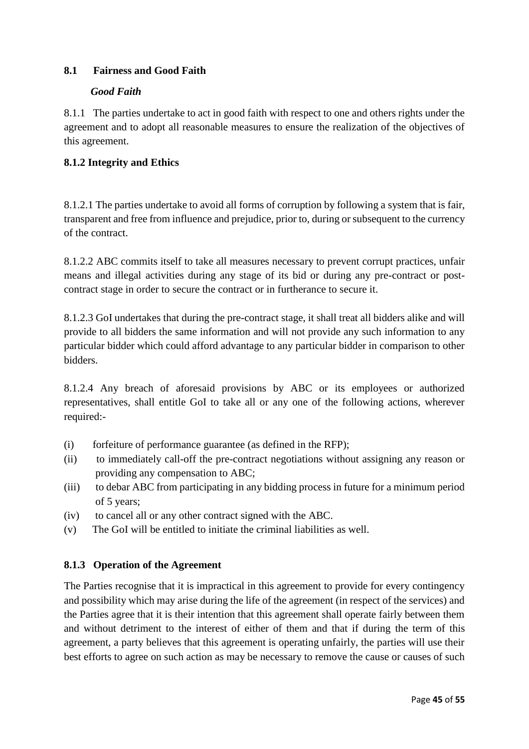### **8.1 Fairness and Good Faith**

### *Good Faith*

8.1.1 The parties undertake to act in good faith with respect to one and others rights under the agreement and to adopt all reasonable measures to ensure the realization of the objectives of this agreement.

#### **8.1.2 Integrity and Ethics**

8.1.2.1 The parties undertake to avoid all forms of corruption by following a system that is fair, transparent and free from influence and prejudice, prior to, during or subsequent to the currency of the contract.

8.1.2.2 ABC commits itself to take all measures necessary to prevent corrupt practices, unfair means and illegal activities during any stage of its bid or during any pre-contract or postcontract stage in order to secure the contract or in furtherance to secure it.

8.1.2.3 GoI undertakes that during the pre-contract stage, it shall treat all bidders alike and will provide to all bidders the same information and will not provide any such information to any particular bidder which could afford advantage to any particular bidder in comparison to other bidders.

8.1.2.4 Any breach of aforesaid provisions by ABC or its employees or authorized representatives, shall entitle GoI to take all or any one of the following actions, wherever required:-

- (i) forfeiture of performance guarantee (as defined in the RFP);
- (ii) to immediately call-off the pre-contract negotiations without assigning any reason or providing any compensation to ABC;
- (iii) to debar ABC from participating in any bidding process in future for a minimum period of 5 years;
- (iv) to cancel all or any other contract signed with the ABC.
- (v) The GoI will be entitled to initiate the criminal liabilities as well.

### **8.1.3 Operation of the Agreement**

The Parties recognise that it is impractical in this agreement to provide for every contingency and possibility which may arise during the life of the agreement (in respect of the services) and the Parties agree that it is their intention that this agreement shall operate fairly between them and without detriment to the interest of either of them and that if during the term of this agreement, a party believes that this agreement is operating unfairly, the parties will use their best efforts to agree on such action as may be necessary to remove the cause or causes of such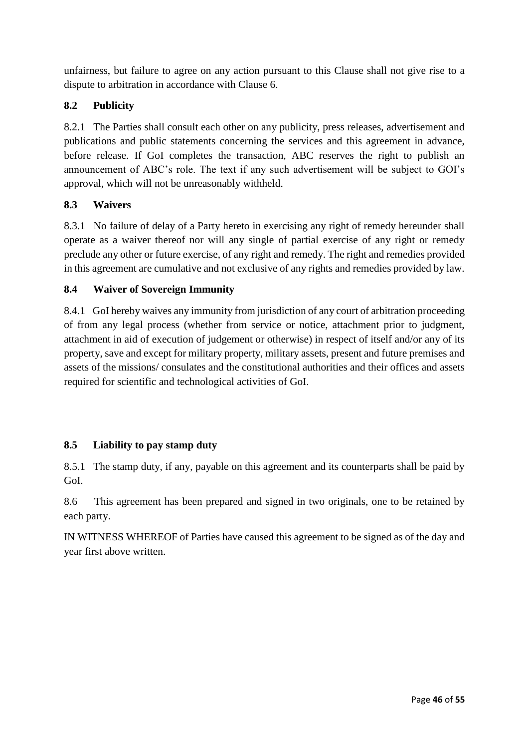unfairness, but failure to agree on any action pursuant to this Clause shall not give rise to a dispute to arbitration in accordance with Clause 6.

### **8.2 Publicity**

8.2.1 The Parties shall consult each other on any publicity, press releases, advertisement and publications and public statements concerning the services and this agreement in advance, before release. If GoI completes the transaction, ABC reserves the right to publish an announcement of ABC's role. The text if any such advertisement will be subject to GOI's approval, which will not be unreasonably withheld.

### **8.3 Waivers**

8.3.1 No failure of delay of a Party hereto in exercising any right of remedy hereunder shall operate as a waiver thereof nor will any single of partial exercise of any right or remedy preclude any other or future exercise, of any right and remedy. The right and remedies provided in this agreement are cumulative and not exclusive of any rights and remedies provided by law.

### **8.4 Waiver of Sovereign Immunity**

8.4.1 GoI hereby waives any immunity from jurisdiction of any court of arbitration proceeding of from any legal process (whether from service or notice, attachment prior to judgment, attachment in aid of execution of judgement or otherwise) in respect of itself and/or any of its property, save and except for military property, military assets, present and future premises and assets of the missions/ consulates and the constitutional authorities and their offices and assets required for scientific and technological activities of GoI.

### **8.5 Liability to pay stamp duty**

8.5.1 The stamp duty, if any, payable on this agreement and its counterparts shall be paid by GoI.

8.6 This agreement has been prepared and signed in two originals, one to be retained by each party.

IN WITNESS WHEREOF of Parties have caused this agreement to be signed as of the day and year first above written.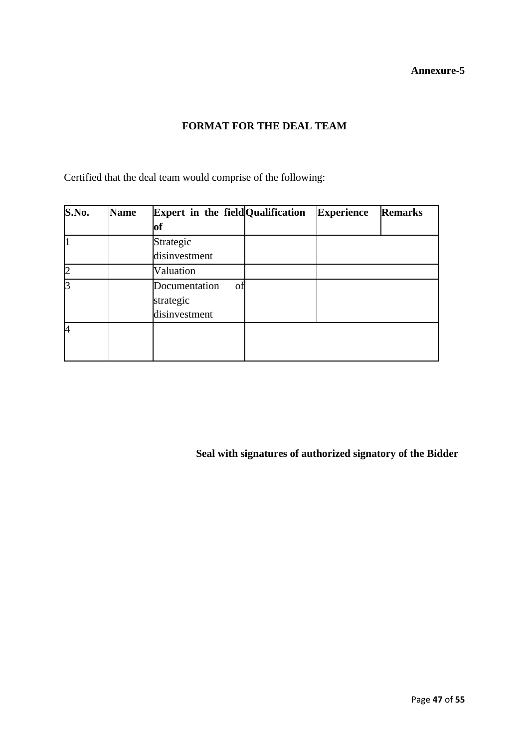### **Annexure-5**

# **FORMAT FOR THE DEAL TEAM**

Certified that the deal team would comprise of the following:

| S.No.          | <b>Name</b> | Expert in the field Qualification | <b>Experience</b> | <b>Remarks</b> |
|----------------|-------------|-----------------------------------|-------------------|----------------|
|                |             | оf                                |                   |                |
|                |             | Strategic                         |                   |                |
|                |             | disinvestment                     |                   |                |
| $\overline{2}$ |             | Valuation                         |                   |                |
| 3              |             | Documentation<br>οf               |                   |                |
|                |             | strategic                         |                   |                |
|                |             | disinvestment                     |                   |                |
| 4              |             |                                   |                   |                |
|                |             |                                   |                   |                |
|                |             |                                   |                   |                |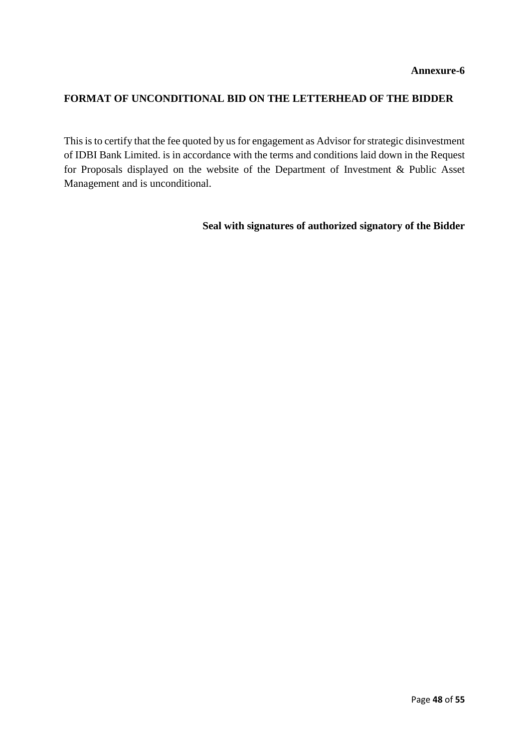### **FORMAT OF UNCONDITIONAL BID ON THE LETTERHEAD OF THE BIDDER**

This is to certify that the fee quoted by us for engagement as Advisor for strategic disinvestment of IDBI Bank Limited. is in accordance with the terms and conditions laid down in the Request for Proposals displayed on the website of the Department of Investment & Public Asset Management and is unconditional.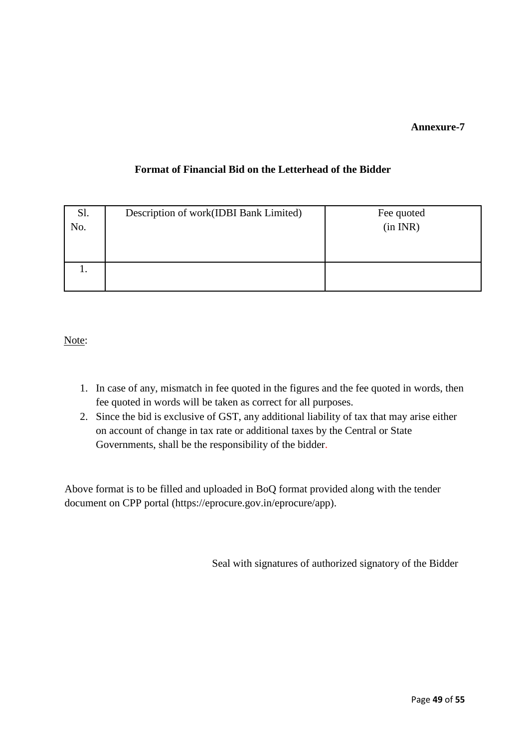### **Annexure-7**

#### **Format of Financial Bid on the Letterhead of the Bidder**

| Sl. | Description of work(IDBI Bank Limited) | Fee quoted |
|-----|----------------------------------------|------------|
| No. |                                        | (in INR)   |
|     |                                        |            |
|     |                                        |            |
|     |                                        |            |
|     |                                        |            |

Note:

- 1. In case of any, mismatch in fee quoted in the figures and the fee quoted in words, then fee quoted in words will be taken as correct for all purposes.
- 2. Since the bid is exclusive of GST, any additional liability of tax that may arise either on account of change in tax rate or additional taxes by the Central or State Governments, shall be the responsibility of the bidder.

Above format is to be filled and uploaded in BoQ format provided along with the tender document on CPP portal (https://eprocure.gov.in/eprocure/app).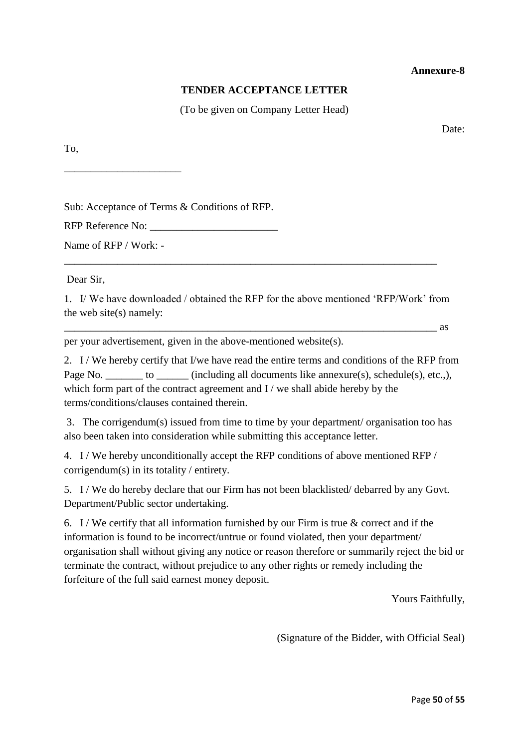#### **Annexure-8**

#### **TENDER ACCEPTANCE LETTER**

(To be given on Company Letter Head)

Date:

To,

Sub: Acceptance of Terms & Conditions of RFP.

RFP Reference No:

Name of RFP / Work: -

\_\_\_\_\_\_\_\_\_\_\_\_\_\_\_\_\_\_\_\_\_\_

Dear Sir,

1. I/ We have downloaded / obtained the RFP for the above mentioned 'RFP/Work' from the web site(s) namely:

 $\overline{\phantom{a}}$  as an  $\overline{\phantom{a}}$  as  $\overline{\phantom{a}}$  as  $\overline{\phantom{a}}$ 

\_\_\_\_\_\_\_\_\_\_\_\_\_\_\_\_\_\_\_\_\_\_\_\_\_\_\_\_\_\_\_\_\_\_\_\_\_\_\_\_\_\_\_\_\_\_\_\_\_\_\_\_\_\_\_\_\_\_\_\_\_\_\_\_\_\_\_\_\_\_

per your advertisement, given in the above-mentioned website(s).

2. I / We hereby certify that I/we have read the entire terms and conditions of the RFP from Page No. \_\_\_\_\_\_\_\_ to \_\_\_\_\_\_ (including all documents like annexure(s), schedule(s), etc.,), which form part of the contract agreement and  $I$  / we shall abide hereby by the terms/conditions/clauses contained therein.

3. The corrigendum(s) issued from time to time by your department/ organisation too has also been taken into consideration while submitting this acceptance letter.

4. I / We hereby unconditionally accept the RFP conditions of above mentioned RFP / corrigendum(s) in its totality / entirety.

5. I / We do hereby declare that our Firm has not been blacklisted/ debarred by any Govt. Department/Public sector undertaking.

6. I / We certify that all information furnished by our Firm is true  $\&$  correct and if the information is found to be incorrect/untrue or found violated, then your department/ organisation shall without giving any notice or reason therefore or summarily reject the bid or terminate the contract, without prejudice to any other rights or remedy including the forfeiture of the full said earnest money deposit.

Yours Faithfully,

(Signature of the Bidder, with Official Seal)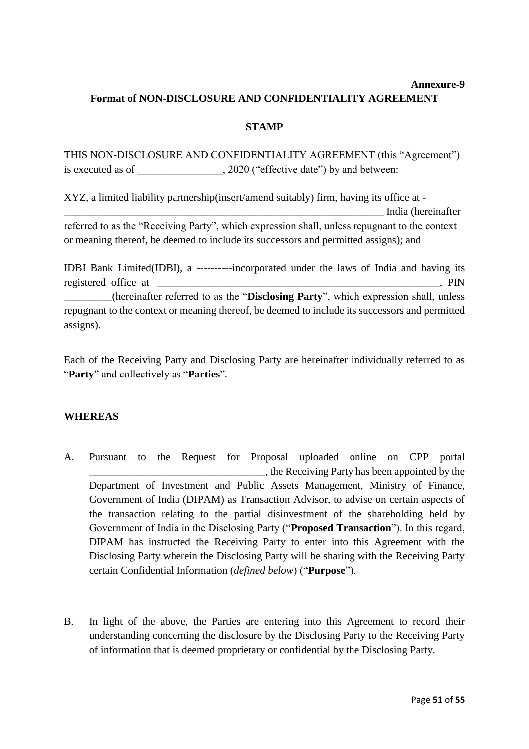#### **Annexure-9 Format of NON-DISCLOSURE AND CONFIDENTIALITY AGREEMENT**

#### **STAMP**

THIS NON-DISCLOSURE AND CONFIDENTIALITY AGREEMENT (this "Agreement") is executed as of \_\_\_\_\_\_\_\_\_\_\_\_\_\_\_, 2020 ("effective date") by and between:

XYZ, a limited liability partnership(insert/amend suitably) firm, having its office at - \_\_\_\_\_\_\_\_\_\_\_\_\_\_\_\_\_\_\_\_\_\_\_\_\_\_\_\_\_\_\_\_\_\_\_\_\_\_\_\_\_\_\_\_\_\_\_\_\_\_\_\_\_\_\_\_\_\_\_\_ India (hereinafter referred to as the "Receiving Party", which expression shall, unless repugnant to the context or meaning thereof, be deemed to include its successors and permitted assigns); and

IDBI Bank Limited(IDBI), a ----------incorporated under the laws of India and having its registered office at  $\Box$ \_\_\_\_\_\_\_\_\_(hereinafter referred to as the "**Disclosing Party**", which expression shall, unless repugnant to the context or meaning thereof, be deemed to include its successors and permitted assigns).

Each of the Receiving Party and Disclosing Party are hereinafter individually referred to as "**Party**" and collectively as "**Parties**".

### **WHEREAS**

- A. Pursuant to the Request for Proposal uploaded online on CPP portal \_\_\_\_\_\_\_\_\_\_\_\_\_\_\_\_\_\_\_\_\_\_\_\_\_\_\_\_\_\_\_\_\_, the Receiving Party has been appointed by the Department of Investment and Public Assets Management, Ministry of Finance, Government of India (DIPAM) as Transaction Advisor, to advise on certain aspects of the transaction relating to the partial disinvestment of the shareholding held by Government of India in the Disclosing Party ("**Proposed Transaction**"). In this regard, DIPAM has instructed the Receiving Party to enter into this Agreement with the Disclosing Party wherein the Disclosing Party will be sharing with the Receiving Party certain Confidential Information (*defined below*) ("**Purpose**").
- B. In light of the above, the Parties are entering into this Agreement to record their understanding concerning the disclosure by the Disclosing Party to the Receiving Party of information that is deemed proprietary or confidential by the Disclosing Party.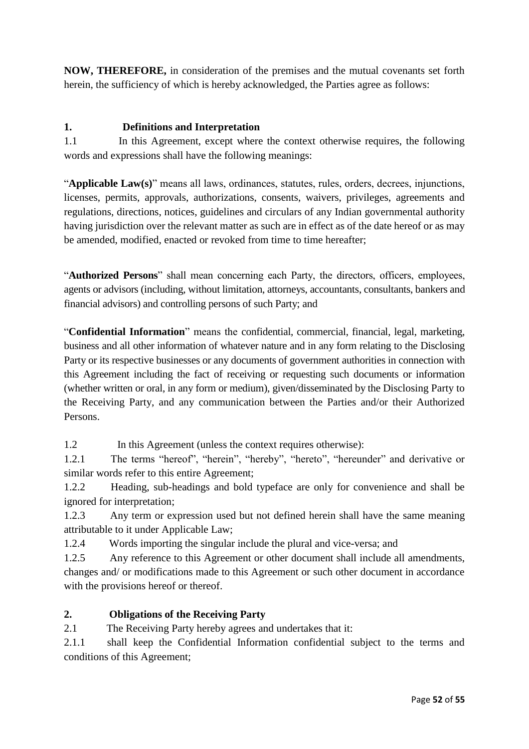**NOW, THEREFORE,** in consideration of the premises and the mutual covenants set forth herein, the sufficiency of which is hereby acknowledged, the Parties agree as follows:

## **1. Definitions and Interpretation**

1.1 In this Agreement, except where the context otherwise requires, the following words and expressions shall have the following meanings:

"**Applicable Law(s)**" means all laws, ordinances, statutes, rules, orders, decrees, injunctions, licenses, permits, approvals, authorizations, consents, waivers, privileges, agreements and regulations, directions, notices, guidelines and circulars of any Indian governmental authority having jurisdiction over the relevant matter as such are in effect as of the date hereof or as may be amended, modified, enacted or revoked from time to time hereafter;

"**Authorized Persons**" shall mean concerning each Party, the directors, officers, employees, agents or advisors (including, without limitation, attorneys, accountants, consultants, bankers and financial advisors) and controlling persons of such Party; and

"**Confidential Information**" means the confidential, commercial, financial, legal, marketing, business and all other information of whatever nature and in any form relating to the Disclosing Party or its respective businesses or any documents of government authorities in connection with this Agreement including the fact of receiving or requesting such documents or information (whether written or oral, in any form or medium), given/disseminated by the Disclosing Party to the Receiving Party, and any communication between the Parties and/or their Authorized Persons.

1.2 In this Agreement (unless the context requires otherwise):

1.2.1 The terms "hereof", "herein", "hereby", "hereto", "hereunder" and derivative or similar words refer to this entire Agreement;

1.2.2 Heading, sub-headings and bold typeface are only for convenience and shall be ignored for interpretation;

1.2.3 Any term or expression used but not defined herein shall have the same meaning attributable to it under Applicable Law;

1.2.4 Words importing the singular include the plural and vice-versa; and

1.2.5 Any reference to this Agreement or other document shall include all amendments, changes and/ or modifications made to this Agreement or such other document in accordance with the provisions hereof or thereof.

# **2. Obligations of the Receiving Party**

2.1 The Receiving Party hereby agrees and undertakes that it:

2.1.1 shall keep the Confidential Information confidential subject to the terms and conditions of this Agreement;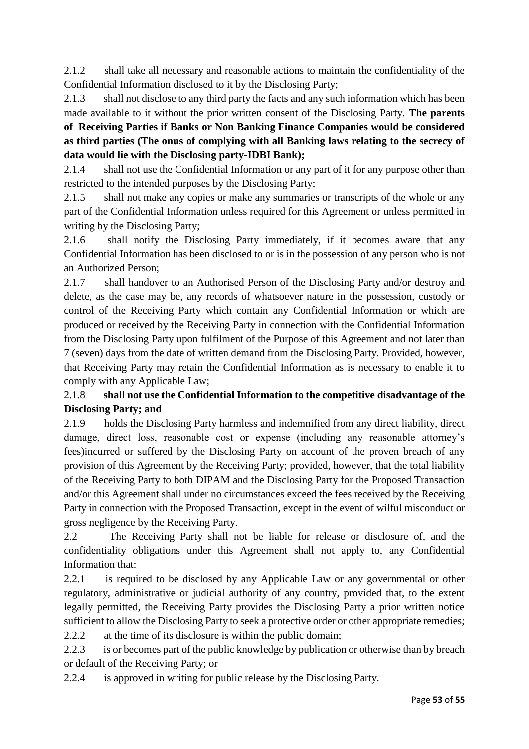2.1.2 shall take all necessary and reasonable actions to maintain the confidentiality of the Confidential Information disclosed to it by the Disclosing Party;

2.1.3 shall not disclose to any third party the facts and any such information which has been made available to it without the prior written consent of the Disclosing Party. **The parents of Receiving Parties if Banks or Non Banking Finance Companies would be considered as third parties (The onus of complying with all Banking laws relating to the secrecy of data would lie with the Disclosing party-IDBI Bank);** 

2.1.4 shall not use the Confidential Information or any part of it for any purpose other than restricted to the intended purposes by the Disclosing Party;

2.1.5 shall not make any copies or make any summaries or transcripts of the whole or any part of the Confidential Information unless required for this Agreement or unless permitted in writing by the Disclosing Party;

2.1.6 shall notify the Disclosing Party immediately, if it becomes aware that any Confidential Information has been disclosed to or is in the possession of any person who is not an Authorized Person;

2.1.7 shall handover to an Authorised Person of the Disclosing Party and/or destroy and delete, as the case may be, any records of whatsoever nature in the possession, custody or control of the Receiving Party which contain any Confidential Information or which are produced or received by the Receiving Party in connection with the Confidential Information from the Disclosing Party upon fulfilment of the Purpose of this Agreement and not later than 7 (seven) days from the date of written demand from the Disclosing Party. Provided, however, that Receiving Party may retain the Confidential Information as is necessary to enable it to comply with any Applicable Law;

# 2.1.8 **shall not use the Confidential Information to the competitive disadvantage of the Disclosing Party; and**

2.1.9 holds the Disclosing Party harmless and indemnified from any direct liability, direct damage, direct loss, reasonable cost or expense (including any reasonable attorney's fees)incurred or suffered by the Disclosing Party on account of the proven breach of any provision of this Agreement by the Receiving Party; provided, however, that the total liability of the Receiving Party to both DIPAM and the Disclosing Party for the Proposed Transaction and/or this Agreement shall under no circumstances exceed the fees received by the Receiving Party in connection with the Proposed Transaction, except in the event of wilful misconduct or gross negligence by the Receiving Party.

2.2 The Receiving Party shall not be liable for release or disclosure of, and the confidentiality obligations under this Agreement shall not apply to, any Confidential Information that:

2.2.1 is required to be disclosed by any Applicable Law or any governmental or other regulatory, administrative or judicial authority of any country, provided that, to the extent legally permitted, the Receiving Party provides the Disclosing Party a prior written notice sufficient to allow the Disclosing Party to seek a protective order or other appropriate remedies; 2.2.2 at the time of its disclosure is within the public domain;

2.2.3 is or becomes part of the public knowledge by publication or otherwise than by breach or default of the Receiving Party; or

2.2.4 is approved in writing for public release by the Disclosing Party.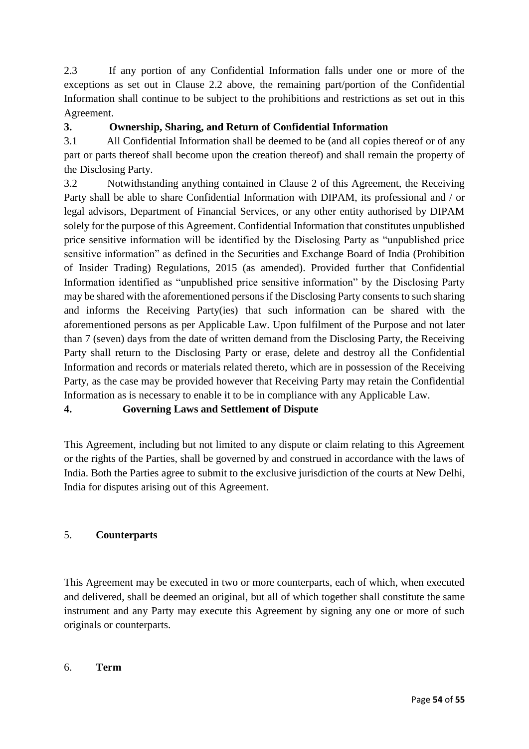2.3 If any portion of any Confidential Information falls under one or more of the exceptions as set out in Clause 2.2 above, the remaining part/portion of the Confidential Information shall continue to be subject to the prohibitions and restrictions as set out in this Agreement.

# **3. Ownership, Sharing, and Return of Confidential Information**

3.1 All Confidential Information shall be deemed to be (and all copies thereof or of any part or parts thereof shall become upon the creation thereof) and shall remain the property of the Disclosing Party.

3.2 Notwithstanding anything contained in Clause 2 of this Agreement, the Receiving Party shall be able to share Confidential Information with DIPAM, its professional and / or legal advisors, Department of Financial Services, or any other entity authorised by DIPAM solely for the purpose of this Agreement. Confidential Information that constitutes unpublished price sensitive information will be identified by the Disclosing Party as "unpublished price sensitive information" as defined in the Securities and Exchange Board of India (Prohibition of Insider Trading) Regulations, 2015 (as amended). Provided further that Confidential Information identified as "unpublished price sensitive information" by the Disclosing Party may be shared with the aforementioned persons if the Disclosing Party consents to such sharing and informs the Receiving Party(ies) that such information can be shared with the aforementioned persons as per Applicable Law. Upon fulfilment of the Purpose and not later than 7 (seven) days from the date of written demand from the Disclosing Party, the Receiving Party shall return to the Disclosing Party or erase, delete and destroy all the Confidential Information and records or materials related thereto, which are in possession of the Receiving Party, as the case may be provided however that Receiving Party may retain the Confidential Information as is necessary to enable it to be in compliance with any Applicable Law.

# **4. Governing Laws and Settlement of Dispute**

This Agreement, including but not limited to any dispute or claim relating to this Agreement or the rights of the Parties, shall be governed by and construed in accordance with the laws of India. Both the Parties agree to submit to the exclusive jurisdiction of the courts at New Delhi, India for disputes arising out of this Agreement.

# 5. **Counterparts**

This Agreement may be executed in two or more counterparts, each of which, when executed and delivered, shall be deemed an original, but all of which together shall constitute the same instrument and any Party may execute this Agreement by signing any one or more of such originals or counterparts.

# 6. **Term**